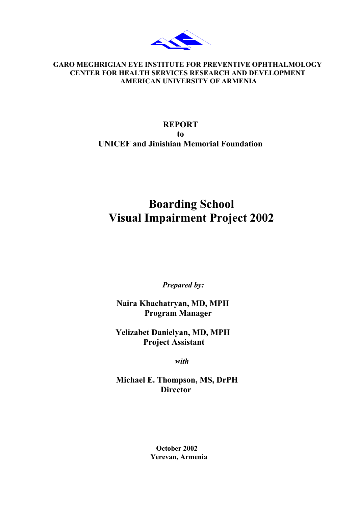

# **GARO MEGHRIGIAN EYE INSTITUTE FOR PREVENTIVE OPHTHALMOLOGY CENTER FOR HEALTH SERVICES RESEARCH AND DEVELOPMENT AMERICAN UNIVERSITY OF ARMENIA**

# **REPORT to UNICEF and Jinishian Memorial Foundation**

# **Boarding School Visual Impairment Project 2002**

 *Prepared by:* 

 **Naira Khachatryan, MD, MPH Program Manager** 

 **Yelizabet Danielyan, MD, MPH Project Assistant** 

 *with* 

 **Michael E. Thompson, MS, DrPH Director** 

> **October 2002 Yerevan, Armenia**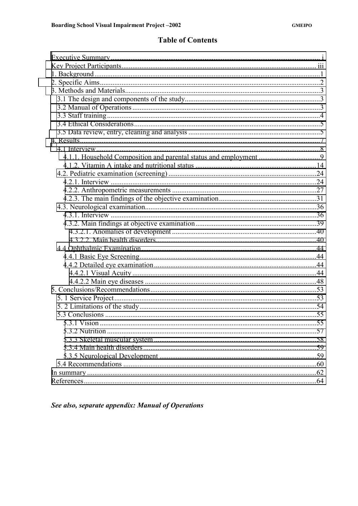# **Table of Contents**

| 5.3.1 Vision |  |
|--------------|--|
|              |  |
|              |  |
|              |  |
|              |  |
|              |  |
|              |  |
|              |  |

See also, separate appendix: Manual of Operations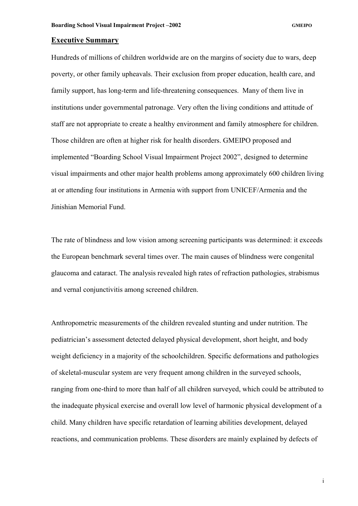#### <span id="page-2-0"></span>**Executive Summary**

Hundreds of millions of children worldwide are on the margins of society due to wars, deep poverty, or other family upheavals. Their exclusion from proper education, health care, and family support, has long-term and life-threatening consequences. Many of them live in institutions under governmental patronage. Very often the living conditions and attitude of staff are not appropriate to create a healthy environment and family atmosphere for children. Those children are often at higher risk for health disorders. GMEIPO proposed and implemented "Boarding School Visual Impairment Project 2002", designed to determine visual impairments and other major health problems among approximately 600 children living at or attending four institutions in Armenia with support from UNICEF/Armenia and the Jinishian Memorial Fund.

The rate of blindness and low vision among screening participants was determined: it exceeds the European benchmark several times over. The main causes of blindness were congenital glaucoma and cataract. The analysis revealed high rates of refraction pathologies, strabismus and vernal conjunctivitis among screened children.

Anthropometric measurements of the children revealed stunting and under nutrition. The pediatrician's assessment detected delayed physical development, short height, and body weight deficiency in a majority of the schoolchildren. Specific deformations and pathologies of skeletal-muscular system are very frequent among children in the surveyed schools, ranging from one-third to more than half of all children surveyed, which could be attributed to the inadequate physical exercise and overall low level of harmonic physical development of a child. Many children have specific retardation of learning abilities development, delayed reactions, and communication problems. These disorders are mainly explained by defects of

i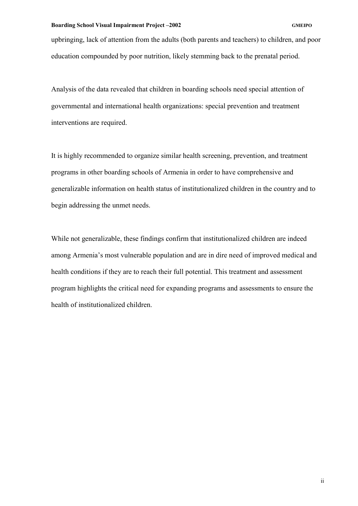upbringing, lack of attention from the adults (both parents and teachers) to children, and poor education compounded by poor nutrition, likely stemming back to the prenatal period.

Analysis of the data revealed that children in boarding schools need special attention of governmental and international health organizations: special prevention and treatment interventions are required.

It is highly recommended to organize similar health screening, prevention, and treatment programs in other boarding schools of Armenia in order to have comprehensive and generalizable information on health status of institutionalized children in the country and to begin addressing the unmet needs.

While not generalizable, these findings confirm that institutionalized children are indeed among Armenia's most vulnerable population and are in dire need of improved medical and health conditions if they are to reach their full potential. This treatment and assessment program highlights the critical need for expanding programs and assessments to ensure the health of institutionalized children.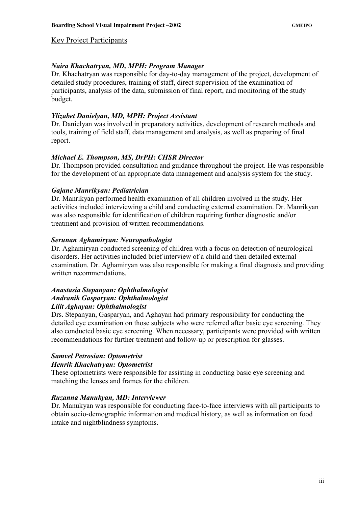# <span id="page-4-0"></span>Key Project Participants

# *Naira Khachatryan, MD, MPH: Program Manager*

Dr. Khachatryan was responsible for day-to-day management of the project, development of detailed study procedures, training of staff, direct supervision of the examination of participants, analysis of the data, submission of final report, and monitoring of the study budget.

# *Ylizabet Danielyan, MD, MPH: Project Assistant*

Dr. Danielyan was involved in preparatory activities, development of research methods and tools, training of field staff, data management and analysis, as well as preparing of final report.

# *Michael E. Thompson, MS, DrPH: CHSR Director*

Dr. Thompson provided consultation and guidance throughout the project. He was responsible for the development of an appropriate data management and analysis system for the study.

# *Gajane Manrikyan: Pediatrician*

Dr. Manrikyan performed health examination of all children involved in the study. Her activities included interviewing a child and conducting external examination. Dr. Manrikyan was also responsible for identification of children requiring further diagnostic and/or treatment and provision of written recommendations.

# *Serunan Aghamiryan: Neuropathologist*

Dr. Aghamiryan conducted screening of children with a focus on detection of neurological disorders. Her activities included brief interview of a child and then detailed external examination. Dr. Aghamiryan was also responsible for making a final diagnosis and providing written recommendations.

# *Anastasia Stepanyan: Ophthalmologist Andranik Gasparyan: Ophthalmologist Lilit Aghayan: Ophthalmologist*

Drs. Stepanyan, Gasparyan, and Aghayan had primary responsibility for conducting the detailed eye examination on those subjects who were referred after basic eye screening. They also conducted basic eye screening. When necessary, participants were provided with written recommendations for further treatment and follow-up or prescription for glasses.

## *Samvel Petrosian: Optometrist Henrik Khachatryan: Optometrist*

These optometrists were responsible for assisting in conducting basic eye screening and matching the lenses and frames for the children.

# *Ruzanna Manukyan, MD: Interviewer*

Dr. Manukyan was responsible for conducting face-to-face interviews with all participants to obtain socio-demographic information and medical history, as well as information on food intake and nightblindness symptoms.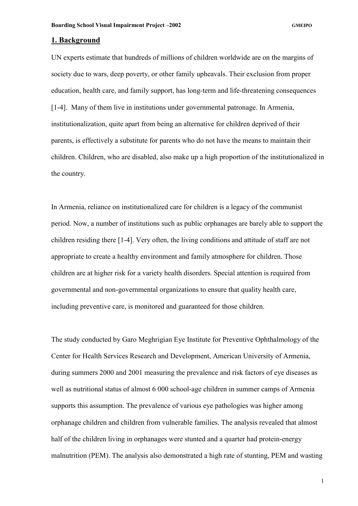#### <span id="page-5-0"></span>**1. Background**

UN experts estimate that hundreds of millions of children worldwide are on the margins of society due to wars, deep poverty, or other family upheavals. Their exclusion from proper education, health care, and family support, has long-term and life-threatening consequences [1-4]. Many of them live in institutions under governmental patronage. In Armenia, institutionalization, quite apart from being an alternative for children deprived of their parents, is effectively a substitute for parents who do not have the means to maintain their children. Children, who are disabled, also make up a high proportion of the institutionalized in the country.

In Armenia, reliance on institutionalized care for children is a legacy of the communist period. Now, a number of institutions such as public orphanages are barely able to support the children residing there [1-4]. Very often, the living conditions and attitude of staff are not appropriate to create a healthy environment and family atmosphere for children. Those children are at higher risk for a variety health disorders. Special attention is required from governmental and non-governmental organizations to ensure that quality health care, including preventive care, is monitored and guaranteed for those children.

The study conducted by Garo Meghrigian Eye Institute for Preventive Ophthalmology of the Center for Health Services Research and Development, American University of Armenia, during summers 2000 and 2001 measuring the prevalence and risk factors of eye diseases as well as nutritional status of almost 6 000 school-age children in summer camps of Armenia supports this assumption. The prevalence of various eye pathologies was higher among orphanage children and children from vulnerable families. The analysis revealed that almost half of the children living in orphanages were stunted and a quarter had protein-energy malnutrition (PEM). The analysis also demonstrated a high rate of stunting, PEM and wasting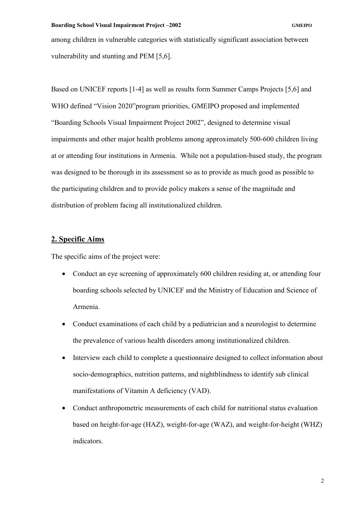<span id="page-6-0"></span>among children in vulnerable categories with statistically significant association between vulnerability and stunting and PEM [5,6].

Based on UNICEF reports [1-4] as well as results form Summer Camps Projects [5,6] and WHO defined "Vision 2020"program priorities, GMEIPO proposed and implemented "Boarding Schools Visual Impairment Project 2002", designed to determine visual impairments and other major health problems among approximately 500-600 children living at or attending four institutions in Armenia. While not a population-based study, the program was designed to be thorough in its assessment so as to provide as much good as possible to the participating children and to provide policy makers a sense of the magnitude and distribution of problem facing all institutionalized children.

# **2. Specific Aims**

The specific aims of the project were:

- Conduct an eye screening of approximately 600 children residing at, or attending four boarding schools selected by UNICEF and the Ministry of Education and Science of Armenia.
- Conduct examinations of each child by a pediatrician and a neurologist to determine the prevalence of various health disorders among institutionalized children.
- Interview each child to complete a questionnaire designed to collect information about socio-demographics, nutrition patterns, and nightblindness to identify sub clinical manifestations of Vitamin A deficiency (VAD).
- Conduct anthropometric measurements of each child for nutritional status evaluation based on height-for-age (HAZ), weight-for-age (WAZ), and weight-for-height (WHZ) indicators.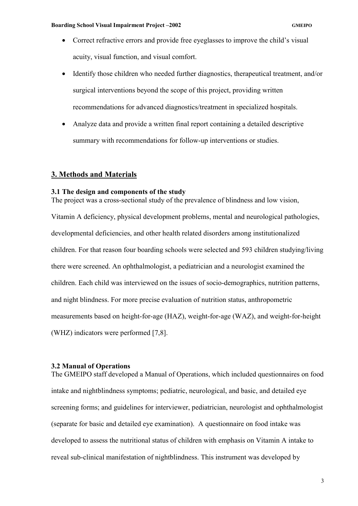- <span id="page-7-0"></span>• Correct refractive errors and provide free eveglasses to improve the child's visual acuity, visual function, and visual comfort.
- Identify those children who needed further diagnostics, therapeutical treatment, and/or surgical interventions beyond the scope of this project, providing written recommendations for advanced diagnostics/treatment in specialized hospitals.
- Analyze data and provide a written final report containing a detailed descriptive summary with recommendations for follow-up interventions or studies.

# **3. Methods and Materials**

#### **3.1 The design and components of the study**

The project was a cross-sectional study of the prevalence of blindness and low vision, Vitamin A deficiency, physical development problems, mental and neurological pathologies, developmental deficiencies, and other health related disorders among institutionalized children. For that reason four boarding schools were selected and 593 children studying/living there were screened. An ophthalmologist, a pediatrician and a neurologist examined the children. Each child was interviewed on the issues of socio-demographics, nutrition patterns, and night blindness. For more precise evaluation of nutrition status, anthropometric measurements based on height-for-age (HAZ), weight-for-age (WAZ), and weight-for-height (WHZ) indicators were performed [7,8].

# **3.2 Manual of Operations**

The GMEIPO staff developed a Manual of Operations, which included questionnaires on food intake and nightblindness symptoms; pediatric, neurological, and basic, and detailed eye screening forms; and guidelines for interviewer, pediatrician, neurologist and ophthalmologist (separate for basic and detailed eye examination). A questionnaire on food intake was developed to assess the nutritional status of children with emphasis on Vitamin A intake to reveal sub-clinical manifestation of nightblindness. This instrument was developed by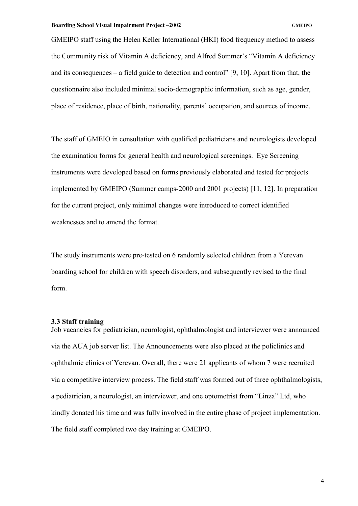<span id="page-8-0"></span>GMEIPO staff using the Helen Keller International (HKI) food frequency method to assess the Community risk of Vitamin A deficiency, and Alfred Sommer's "Vitamin A deficiency and its consequences – a field guide to detection and control" [9, 10]. Apart from that, the questionnaire also included minimal socio-demographic information, such as age, gender, place of residence, place of birth, nationality, parents' occupation, and sources of income.

The staff of GMEIO in consultation with qualified pediatricians and neurologists developed the examination forms for general health and neurological screenings. Eye Screening instruments were developed based on forms previously elaborated and tested for projects implemented by GMEIPO (Summer camps-2000 and 2001 projects) [11, 12]. In preparation for the current project, only minimal changes were introduced to correct identified weaknesses and to amend the format.

The study instruments were pre-tested on 6 randomly selected children from a Yerevan boarding school for children with speech disorders, and subsequently revised to the final form.

# **3.3 Staff training**

Job vacancies for pediatrician, neurologist, ophthalmologist and interviewer were announced via the AUA job server list. The Announcements were also placed at the policlinics and ophthalmic clinics of Yerevan. Overall, there were 21 applicants of whom 7 were recruited via a competitive interview process. The field staff was formed out of three ophthalmologists, a pediatrician, a neurologist, an interviewer, and one optometrist from "Linza" Ltd, who kindly donated his time and was fully involved in the entire phase of project implementation. The field staff completed two day training at GMEIPO.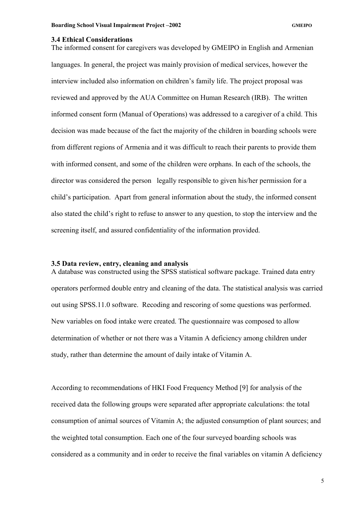#### <span id="page-9-0"></span>**3.4 Ethical Considerations**

The informed consent for caregivers was developed by GMEIPO in English and Armenian languages. In general, the project was mainly provision of medical services, however the interview included also information on children's family life. The project proposal was reviewed and approved by the AUA Committee on Human Research (IRB). The written informed consent form (Manual of Operations) was addressed to a caregiver of a child. This decision was made because of the fact the majority of the children in boarding schools were from different regions of Armenia and it was difficult to reach their parents to provide them with informed consent, and some of the children were orphans. In each of the schools, the director was considered the person legally responsible to given his/her permission for a child's participation. Apart from general information about the study, the informed consent also stated the child's right to refuse to answer to any question, to stop the interview and the screening itself, and assured confidentiality of the information provided.

# **3.5 Data review, entry, cleaning and analysis**

A database was constructed using the SPSS statistical software package. Trained data entry operators performed double entry and cleaning of the data. The statistical analysis was carried out using SPSS.11.0 software. Recoding and rescoring of some questions was performed. New variables on food intake were created. The questionnaire was composed to allow determination of whether or not there was a Vitamin A deficiency among children under study, rather than determine the amount of daily intake of Vitamin A.

According to recommendations of HKI Food Frequency Method [9] for analysis of the received data the following groups were separated after appropriate calculations: the total consumption of animal sources of Vitamin A; the adjusted consumption of plant sources; and the weighted total consumption. Each one of the four surveyed boarding schools was considered as a community and in order to receive the final variables on vitamin A deficiency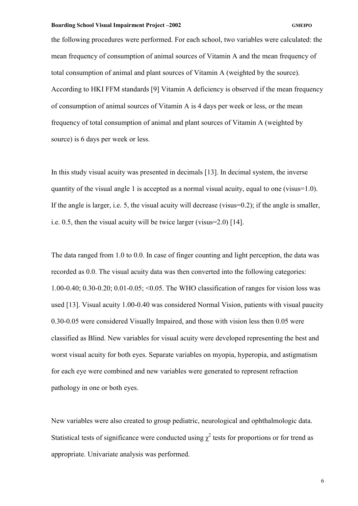the following procedures were performed. For each school, two variables were calculated: the mean frequency of consumption of animal sources of Vitamin A and the mean frequency of total consumption of animal and plant sources of Vitamin A (weighted by the source). According to HKI FFM standards [9] Vitamin A deficiency is observed if the mean frequency of consumption of animal sources of Vitamin A is 4 days per week or less, or the mean frequency of total consumption of animal and plant sources of Vitamin A (weighted by source) is 6 days per week or less.

In this study visual acuity was presented in decimals [13]. In decimal system, the inverse quantity of the visual angle 1 is accepted as a normal visual acuity, equal to one (visus=1.0). If the angle is larger, i.e. 5, the visual acuity will decrease (visus=0.2); if the angle is smaller, i.e. 0.5, then the visual acuity will be twice larger (visus=2.0) [14].

The data ranged from 1.0 to 0.0. In case of finger counting and light perception, the data was recorded as 0.0. The visual acuity data was then converted into the following categories: 1.00-0.40; 0.30-0.20; 0.01-0.05; <0.05. The WHO classification of ranges for vision loss was used [13]. Visual acuity 1.00-0.40 was considered Normal Vision, patients with visual paucity 0.30-0.05 were considered Visually Impaired, and those with vision less then 0.05 were classified as Blind. New variables for visual acuity were developed representing the best and worst visual acuity for both eyes. Separate variables on myopia, hyperopia, and astigmatism for each eye were combined and new variables were generated to represent refraction pathology in one or both eyes.

New variables were also created to group pediatric, neurological and ophthalmologic data. Statistical tests of significance were conducted using  $\chi^2$  tests for proportions or for trend as appropriate. Univariate analysis was performed.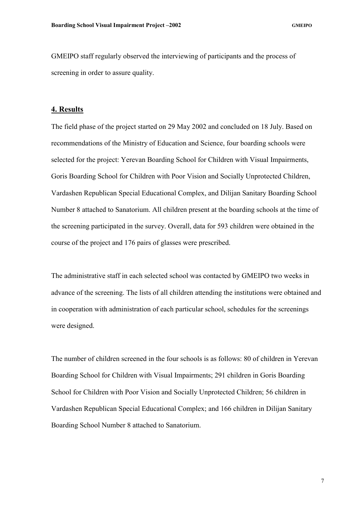<span id="page-11-0"></span>GMEIPO staff regularly observed the interviewing of participants and the process of screening in order to assure quality.

# **4. Results**

The field phase of the project started on 29 May 2002 and concluded on 18 July. Based on recommendations of the Ministry of Education and Science, four boarding schools were selected for the project: Yerevan Boarding School for Children with Visual Impairments, Goris Boarding School for Children with Poor Vision and Socially Unprotected Children, Vardashen Republican Special Educational Complex, and Dilijan Sanitary Boarding School Number 8 attached to Sanatorium. All children present at the boarding schools at the time of the screening participated in the survey. Overall, data for 593 children were obtained in the course of the project and 176 pairs of glasses were prescribed.

The administrative staff in each selected school was contacted by GMEIPO two weeks in advance of the screening. The lists of all children attending the institutions were obtained and in cooperation with administration of each particular school, schedules for the screenings were designed.

The number of children screened in the four schools is as follows: 80 of children in Yerevan Boarding School for Children with Visual Impairments; 291 children in Goris Boarding School for Children with Poor Vision and Socially Unprotected Children; 56 children in Vardashen Republican Special Educational Complex; and 166 children in Dilijan Sanitary Boarding School Number 8 attached to Sanatorium.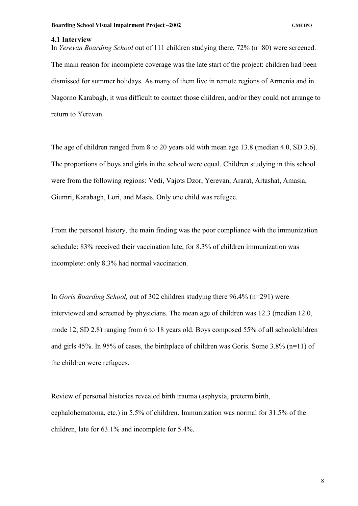#### <span id="page-12-0"></span>**4.1 Interview**

In *Yerevan Boarding School* out of 111 children studying there, 72% (n=80) were screened. The main reason for incomplete coverage was the late start of the project: children had been dismissed for summer holidays. As many of them live in remote regions of Armenia and in Nagorno Karabagh, it was difficult to contact those children, and/or they could not arrange to return to Yerevan.

The age of children ranged from 8 to 20 years old with mean age 13.8 (median 4.0, SD 3.6). The proportions of boys and girls in the school were equal. Children studying in this school were from the following regions: Vedi, Vajots Dzor, Yerevan, Ararat, Artashat, Amasia, Giumri, Karabagh, Lori, and Masis. Only one child was refugee.

From the personal history, the main finding was the poor compliance with the immunization schedule: 83% received their vaccination late, for 8.3% of children immunization was incomplete: only 8.3% had normal vaccination.

In *Goris Boarding School,* out of 302 children studying there 96.4% (n=291) were interviewed and screened by physicians. The mean age of children was 12.3 (median 12.0, mode 12, SD 2.8) ranging from 6 to 18 years old. Boys composed 55% of all schoolchildren and girls 45%. In 95% of cases, the birthplace of children was Goris. Some 3.8% (n=11) of the children were refugees.

Review of personal histories revealed birth trauma (asphyxia, preterm birth, cephalohematoma, etc.) in 5.5% of children. Immunization was normal for 31.5% of the children, late for 63.1% and incomplete for 5.4%.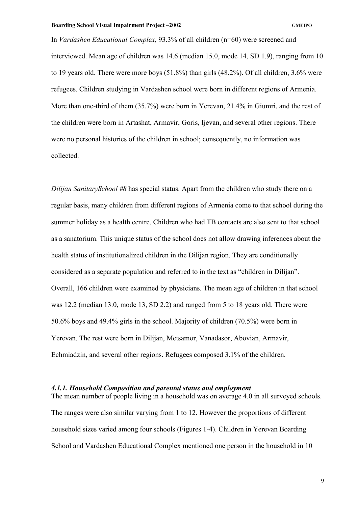<span id="page-13-0"></span>In *Vardashen Educational Complex,* 93.3% of all children (n=60) were screened and interviewed. Mean age of children was 14.6 (median 15.0, mode 14, SD 1.9), ranging from 10 to 19 years old. There were more boys (51.8%) than girls (48.2%). Of all children, 3.6% were refugees. Children studying in Vardashen school were born in different regions of Armenia. More than one-third of them (35.7%) were born in Yerevan, 21.4% in Giumri, and the rest of the children were born in Artashat, Armavir, Goris, Ijevan, and several other regions. There were no personal histories of the children in school; consequently, no information was collected.

*Dilijan SanitarySchool #8* has special status. Apart from the children who study there on a regular basis, many children from different regions of Armenia come to that school during the summer holiday as a health centre. Children who had TB contacts are also sent to that school as a sanatorium. This unique status of the school does not allow drawing inferences about the health status of institutionalized children in the Dilijan region. They are conditionally considered as a separate population and referred to in the text as "children in Dilijan". Overall, 166 children were examined by physicians. The mean age of children in that school was 12.2 (median 13.0, mode 13, SD 2.2) and ranged from 5 to 18 years old. There were 50.6% boys and 49.4% girls in the school. Majority of children (70.5%) were born in Yerevan. The rest were born in Dilijan, Metsamor, Vanadasor, Abovian, Armavir, Echmiadzin, and several other regions. Refugees composed 3.1% of the children.

## *4.1.1. Household Composition and parental status and employment*

The mean number of people living in a household was on average 4.0 in all surveyed schools. The ranges were also similar varying from 1 to 12. However the proportions of different household sizes varied among four schools (Figures 1-4). Children in Yerevan Boarding School and Vardashen Educational Complex mentioned one person in the household in 10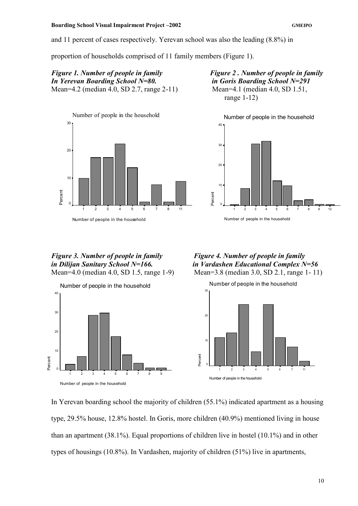and 11 percent of cases respectively. Yerevan school was also the leading (8.8%) in

proportion of households comprised of 11 family members (Figure 1).

*Figure 1. Number of people in family Figure 2 . Number of people in family In Yerevan Boarding School N=80. in Goris Boarding School N=291*  Mean=4.2 (median 4.0, SD 2.7, range 2-11) Mean=4.1 (median 4.0, SD 1.51,



range 1-12)



# *Figure 3. Number of people in family Figure 4. Number of people in family*  Mean=4.0 (median 4.0, SD 1.5, range 1-9) Mean=3.8 (median 3.0, SD 2.1, range 1- 11)



*in Dilijan Sanitary School N=166. in Vardashen Educational Complex N=56* 



In Yerevan boarding school the majority of children (55.1%) indicated apartment as a housing type, 29.5% house, 12.8% hostel. In Goris, more children (40.9%) mentioned living in house than an apartment (38.1%). Equal proportions of children live in hostel (10.1%) and in other types of housings (10.8%). In Vardashen, majority of children (51%) live in apartments,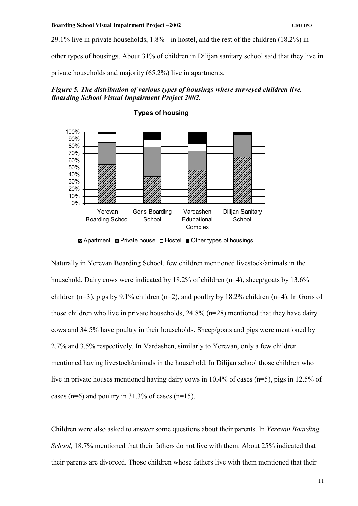29.1% live in private households, 1.8% - in hostel, and the rest of the children (18.2%) in

other types of housings. About 31% of children in Dilijan sanitary school said that they live in

private households and majority (65.2%) live in apartments.





#### **Types of housing**

**Z** Apartment  $\blacksquare$  Private house  $\blacksquare$  Hostel  $\blacksquare$  Other types of housings

Naturally in Yerevan Boarding School, few children mentioned livestock/animals in the household. Dairy cows were indicated by 18.2% of children (n=4), sheep/goats by 13.6% children (n=3), pigs by 9.1% children (n=2), and poultry by 18.2% children (n=4). In Goris of those children who live in private households, 24.8% (n=28) mentioned that they have dairy cows and 34.5% have poultry in their households. Sheep/goats and pigs were mentioned by 2.7% and 3.5% respectively. In Vardashen, similarly to Yerevan, only a few children mentioned having livestock/animals in the household. In Dilijan school those children who live in private houses mentioned having dairy cows in 10.4% of cases (n=5), pigs in 12.5% of cases ( $n=6$ ) and poultry in 31.3% of cases ( $n=15$ ).

Children were also asked to answer some questions about their parents. In *Yerevan Boarding School,* 18.7% mentioned that their fathers do not live with them. About 25% indicated that their parents are divorced. Those children whose fathers live with them mentioned that their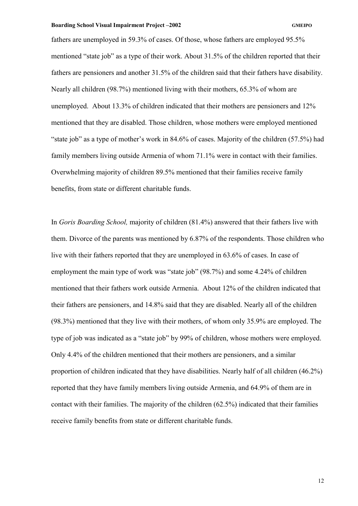fathers are unemployed in 59.3% of cases. Of those, whose fathers are employed 95.5% mentioned "state job" as a type of their work. About 31.5% of the children reported that their fathers are pensioners and another 31.5% of the children said that their fathers have disability. Nearly all children (98.7%) mentioned living with their mothers, 65.3% of whom are unemployed. About 13.3% of children indicated that their mothers are pensioners and 12% mentioned that they are disabled. Those children, whose mothers were employed mentioned "state job" as a type of mother's work in 84.6% of cases. Majority of the children (57.5%) had family members living outside Armenia of whom 71.1% were in contact with their families. Overwhelming majority of children 89.5% mentioned that their families receive family benefits, from state or different charitable funds.

In *Goris Boarding School,* majority of children (81.4%) answered that their fathers live with them. Divorce of the parents was mentioned by 6.87% of the respondents. Those children who live with their fathers reported that they are unemployed in 63.6% of cases. In case of employment the main type of work was "state job" (98.7%) and some 4.24% of children mentioned that their fathers work outside Armenia. About 12% of the children indicated that their fathers are pensioners, and 14.8% said that they are disabled. Nearly all of the children (98.3%) mentioned that they live with their mothers, of whom only 35.9% are employed. The type of job was indicated as a "state job" by 99% of children, whose mothers were employed. Only 4.4% of the children mentioned that their mothers are pensioners, and a similar proportion of children indicated that they have disabilities. Nearly half of all children (46.2%) reported that they have family members living outside Armenia, and 64.9% of them are in contact with their families. The majority of the children (62.5%) indicated that their families receive family benefits from state or different charitable funds.

12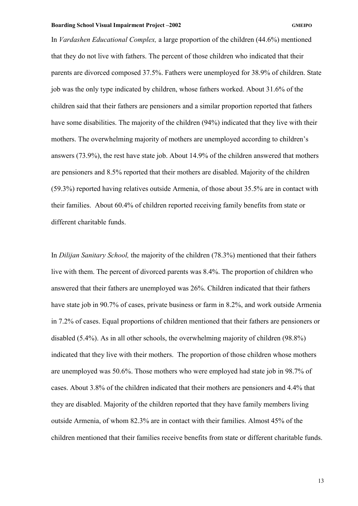In *Vardashen Educational Complex,* a large proportion of the children (44.6%) mentioned that they do not live with fathers. The percent of those children who indicated that their parents are divorced composed 37.5%. Fathers were unemployed for 38.9% of children. State job was the only type indicated by children, whose fathers worked. About 31.6% of the children said that their fathers are pensioners and a similar proportion reported that fathers have some disabilities. The majority of the children (94%) indicated that they live with their mothers. The overwhelming majority of mothers are unemployed according to children's answers (73.9%), the rest have state job. About 14.9% of the children answered that mothers are pensioners and 8.5% reported that their mothers are disabled. Majority of the children (59.3%) reported having relatives outside Armenia, of those about 35.5% are in contact with their families. About 60.4% of children reported receiving family benefits from state or different charitable funds.

In *Dilijan Sanitary School,* the majority of the children (78.3%) mentioned that their fathers live with them. The percent of divorced parents was 8.4%. The proportion of children who answered that their fathers are unemployed was 26%. Children indicated that their fathers have state job in 90.7% of cases, private business or farm in 8.2%, and work outside Armenia in 7.2% of cases. Equal proportions of children mentioned that their fathers are pensioners or disabled (5.4%). As in all other schools, the overwhelming majority of children (98.8%) indicated that they live with their mothers. The proportion of those children whose mothers are unemployed was 50.6%. Those mothers who were employed had state job in 98.7% of cases. About 3.8% of the children indicated that their mothers are pensioners and 4.4% that they are disabled. Majority of the children reported that they have family members living outside Armenia, of whom 82.3% are in contact with their families. Almost 45% of the children mentioned that their families receive benefits from state or different charitable funds.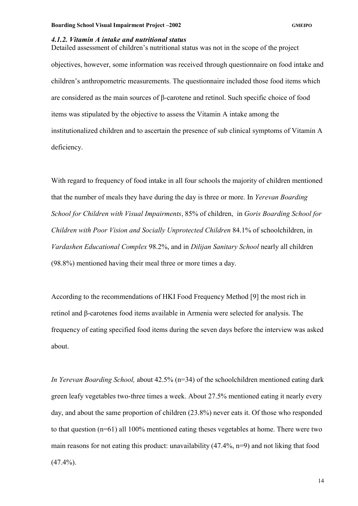# <span id="page-18-0"></span>*4.1.2. Vitamin A intake and nutritional status*

Detailed assessment of children's nutritional status was not in the scope of the project objectives, however, some information was received through questionnaire on food intake and children's anthropometric measurements. The questionnaire included those food items which are considered as the main sources of β-carotene and retinol. Such specific choice of food items was stipulated by the objective to assess the Vitamin A intake among the institutionalized children and to ascertain the presence of sub clinical symptoms of Vitamin A deficiency.

With regard to frequency of food intake in all four schools the majority of children mentioned that the number of meals they have during the day is three or more. In *Yerevan Boarding School for Children with Visual Impairments*, 85% of children, in *Goris Boarding School for Children with Poor Vision and Socially Unprotected Children* 84.1% of schoolchildren, in *Vardashen Educational Complex* 98.2%, and in *Dilijan Sanitary School* nearly all children (98.8%) mentioned having their meal three or more times a day.

According to the recommendations of HKI Food Frequency Method [9] the most rich in retinol and β-carotenes food items available in Armenia were selected for analysis. The frequency of eating specified food items during the seven days before the interview was asked about.

*In Yerevan Boarding School,* about 42.5% (n=34) of the schoolchildren mentioned eating dark green leafy vegetables two-three times a week. About 27.5% mentioned eating it nearly every day, and about the same proportion of children (23.8%) never eats it. Of those who responded to that question (n=61) all 100% mentioned eating theses vegetables at home. There were two main reasons for not eating this product: unavailability (47.4%, n=9) and not liking that food  $(47.4\%)$ .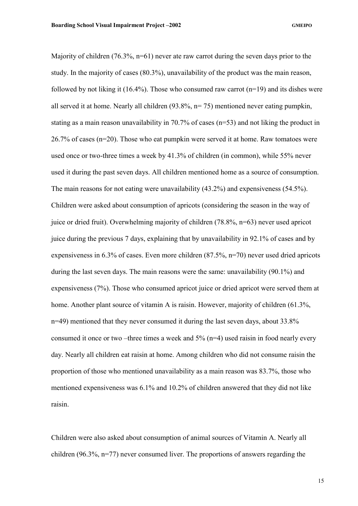Majority of children (76.3%, n=61) never ate raw carrot during the seven days prior to the study. In the majority of cases (80.3%), unavailability of the product was the main reason, followed by not liking it  $(16.4\%)$ . Those who consumed raw carrot  $(n=19)$  and its dishes were all served it at home. Nearly all children (93.8%, n= 75) mentioned never eating pumpkin, stating as a main reason unavailability in 70.7% of cases (n=53) and not liking the product in 26.7% of cases (n=20). Those who eat pumpkin were served it at home. Raw tomatoes were used once or two-three times a week by 41.3% of children (in common), while 55% never used it during the past seven days. All children mentioned home as a source of consumption. The main reasons for not eating were unavailability (43.2%) and expensiveness (54.5%). Children were asked about consumption of apricots (considering the season in the way of juice or dried fruit). Overwhelming majority of children (78.8%, n=63) never used apricot juice during the previous 7 days, explaining that by unavailability in 92.1% of cases and by expensiveness in 6.3% of cases. Even more children (87.5%, n=70) never used dried apricots during the last seven days. The main reasons were the same: unavailability (90.1%) and expensiveness (7%). Those who consumed apricot juice or dried apricot were served them at home. Another plant source of vitamin A is raisin. However, majority of children (61.3%, n=49) mentioned that they never consumed it during the last seven days, about 33.8% consumed it once or two –three times a week and 5% (n=4) used raisin in food nearly every day. Nearly all children eat raisin at home. Among children who did not consume raisin the proportion of those who mentioned unavailability as a main reason was 83.7%, those who mentioned expensiveness was 6.1% and 10.2% of children answered that they did not like raisin.

Children were also asked about consumption of animal sources of Vitamin A. Nearly all children (96.3%, n=77) never consumed liver. The proportions of answers regarding the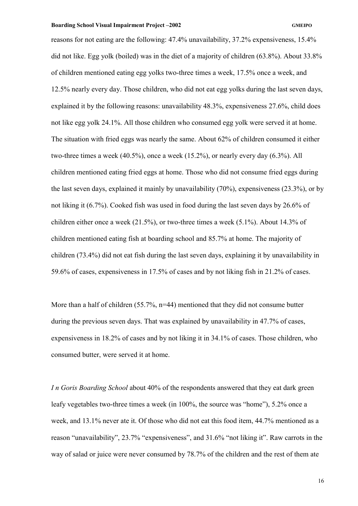reasons for not eating are the following: 47.4% unavailability, 37.2% expensiveness, 15.4% did not like. Egg yolk (boiled) was in the diet of a majority of children (63.8%). About 33.8% of children mentioned eating egg yolks two-three times a week, 17.5% once a week, and 12.5% nearly every day. Those children, who did not eat egg yolks during the last seven days, explained it by the following reasons: unavailability 48.3%, expensiveness 27.6%, child does not like egg yolk 24.1%. All those children who consumed egg yolk were served it at home. The situation with fried eggs was nearly the same. About 62% of children consumed it either two-three times a week (40.5%), once a week (15.2%), or nearly every day (6.3%). All children mentioned eating fried eggs at home. Those who did not consume fried eggs during the last seven days, explained it mainly by unavailability (70%), expensiveness (23.3%), or by not liking it (6.7%). Cooked fish was used in food during the last seven days by 26.6% of children either once a week (21.5%), or two-three times a week (5.1%). About 14.3% of children mentioned eating fish at boarding school and 85.7% at home. The majority of children (73.4%) did not eat fish during the last seven days, explaining it by unavailability in 59.6% of cases, expensiveness in 17.5% of cases and by not liking fish in 21.2% of cases.

More than a half of children (55.7%, n=44) mentioned that they did not consume butter during the previous seven days. That was explained by unavailability in 47.7% of cases, expensiveness in 18.2% of cases and by not liking it in 34.1% of cases. Those children, who consumed butter, were served it at home.

*I n Goris Boarding School* about 40% of the respondents answered that they eat dark green leafy vegetables two-three times a week (in 100%, the source was "home"), 5.2% once a week, and 13.1% never ate it. Of those who did not eat this food item, 44.7% mentioned as a reason "unavailability", 23.7% "expensiveness", and 31.6% "not liking it". Raw carrots in the way of salad or juice were never consumed by 78.7% of the children and the rest of them ate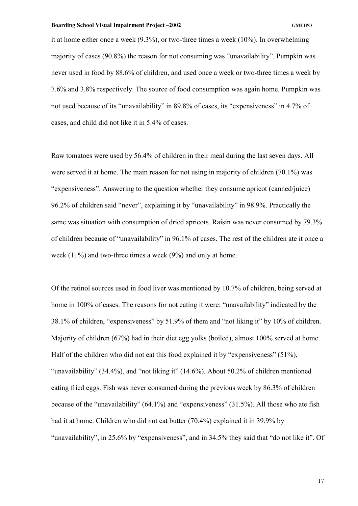it at home either once a week (9.3%), or two-three times a week (10%). In overwhelming majority of cases (90.8%) the reason for not consuming was "unavailability". Pumpkin was never used in food by 88.6% of children, and used once a week or two-three times a week by 7.6% and 3.8% respectively. The source of food consumption was again home. Pumpkin was not used because of its "unavailability" in 89.8% of cases, its "expensiveness" in 4.7% of cases, and child did not like it in 5.4% of cases.

Raw tomatoes were used by 56.4% of children in their meal during the last seven days. All were served it at home. The main reason for not using in majority of children (70.1%) was "expensiveness". Answering to the question whether they consume apricot (canned/juice) 96.2% of children said "never", explaining it by "unavailability" in 98.9%. Practically the same was situation with consumption of dried apricots. Raisin was never consumed by 79.3% of children because of "unavailability" in 96.1% of cases. The rest of the children ate it once a week (11%) and two-three times a week (9%) and only at home.

Of the retinol sources used in food liver was mentioned by 10.7% of children, being served at home in 100% of cases. The reasons for not eating it were: "unavailability" indicated by the 38.1% of children, "expensiveness" by 51.9% of them and "not liking it" by 10% of children. Majority of children (67%) had in their diet egg yolks (boiled), almost 100% served at home. Half of the children who did not eat this food explained it by "expensiveness" (51%), "unavailability" (34.4%), and "not liking it" (14.6%). About 50.2% of children mentioned eating fried eggs. Fish was never consumed during the previous week by 86.3% of children because of the "unavailability" (64.1%) and "expensiveness" (31.5%). All those who ate fish had it at home. Children who did not eat butter (70.4%) explained it in 39.9% by "unavailability", in 25.6% by "expensiveness", and in 34.5% they said that "do not like it". Of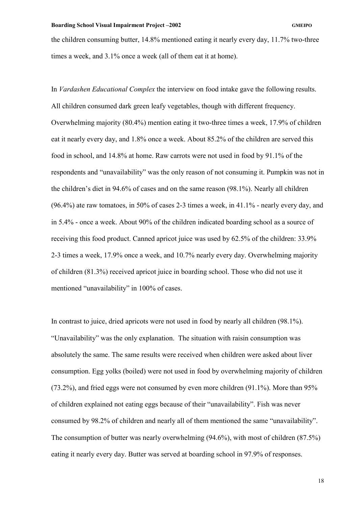the children consuming butter, 14.8% mentioned eating it nearly every day, 11.7% two-three times a week, and 3.1% once a week (all of them eat it at home).

In *Vardashen Educational Complex* the interview on food intake gave the following results. All children consumed dark green leafy vegetables, though with different frequency. Overwhelming majority (80.4%) mention eating it two-three times a week, 17.9% of children eat it nearly every day, and 1.8% once a week. About 85.2% of the children are served this food in school, and 14.8% at home. Raw carrots were not used in food by 91.1% of the respondents and "unavailability" was the only reason of not consuming it. Pumpkin was not in the children's diet in 94.6% of cases and on the same reason (98.1%). Nearly all children (96.4%) ate raw tomatoes, in 50% of cases 2-3 times a week, in 41.1% - nearly every day, and in 5.4% - once a week. About 90% of the children indicated boarding school as a source of receiving this food product. Canned apricot juice was used by 62.5% of the children: 33.9% 2-3 times a week, 17.9% once a week, and 10.7% nearly every day. Overwhelming majority of children (81.3%) received apricot juice in boarding school. Those who did not use it mentioned "unavailability" in 100% of cases.

In contrast to juice, dried apricots were not used in food by nearly all children (98.1%). "Unavailability" was the only explanation. The situation with raisin consumption was absolutely the same. The same results were received when children were asked about liver consumption. Egg yolks (boiled) were not used in food by overwhelming majority of children (73.2%), and fried eggs were not consumed by even more children (91.1%). More than 95% of children explained not eating eggs because of their "unavailability". Fish was never consumed by 98.2% of children and nearly all of them mentioned the same "unavailability". The consumption of butter was nearly overwhelming (94.6%), with most of children (87.5%) eating it nearly every day. Butter was served at boarding school in 97.9% of responses.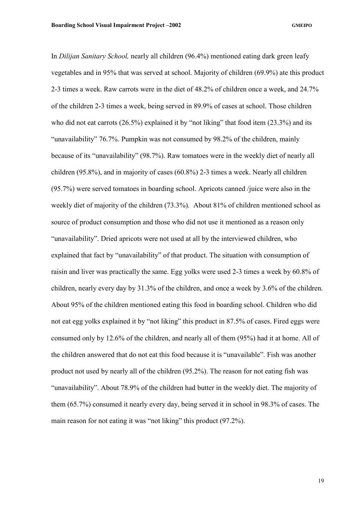In *Dilijan Sanitary School,* nearly all children (96.4%) mentioned eating dark green leafy vegetables and in 95% that was served at school. Majority of children (69.9%) ate this product 2-3 times a week. Raw carrots were in the diet of 48.2% of children once a week, and 24.7% of the children 2-3 times a week, being served in 89.9% of cases at school. Those children who did not eat carrots (26.5%) explained it by "not liking" that food item (23.3%) and its "unavailability" 76.7%. Pumpkin was not consumed by 98.2% of the children, mainly because of its "unavailability" (98.7%). Raw tomatoes were in the weekly diet of nearly all children (95.8%), and in majority of cases (60.8%) 2-3 times a week. Nearly all children (95.7%) were served tomatoes in boarding school. Apricots canned /juice were also in the weekly diet of majority of the children (73.3%). About 81% of children mentioned school as source of product consumption and those who did not use it mentioned as a reason only "unavailability". Dried apricots were not used at all by the interviewed children, who explained that fact by "unavailability" of that product. The situation with consumption of raisin and liver was practically the same. Egg yolks were used 2-3 times a week by 60.8% of children, nearly every day by 31.3% of the children, and once a week by 3.6% of the children. About 95% of the children mentioned eating this food in boarding school. Children who did not eat egg yolks explained it by "not liking" this product in 87.5% of cases. Fired eggs were consumed only by 12.6% of the children, and nearly all of them (95%) had it at home. All of the children answered that do not eat this food because it is "unavailable". Fish was another product not used by nearly all of the children (95.2%). The reason for not eating fish was "unavailability". About 78.9% of the children had butter in the weekly diet. The majority of them (65.7%) consumed it nearly every day, being served it in school in 98.3% of cases. The main reason for not eating it was "not liking" this product (97.2%).

19 and the state of the state of the state of the state of the state of the state of the state of the state of the state of the state of the state of the state of the state of the state of the state of the state of the sta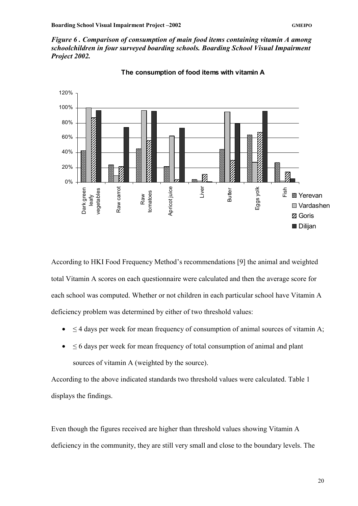*Figure 6 . Comparison of consumption of main food items containing vitamin A among schoolchildren in four surveyed boarding schools. Boarding School Visual Impairment Project 2002.* 



**The consumption of food items with vitamin A** 

According to HKI Food Frequency Method's recommendations [9] the animal and weighted total Vitamin A scores on each questionnaire were calculated and then the average score for each school was computed. Whether or not children in each particular school have Vitamin A deficiency problem was determined by either of two threshold values:

- $\leq$  4 days per week for mean frequency of consumption of animal sources of vitamin A;
- ≤ 6 days per week for mean frequency of total consumption of animal and plant sources of vitamin A (weighted by the source).

According to the above indicated standards two threshold values were calculated. Table 1 displays the findings.

Even though the figures received are higher than threshold values showing Vitamin A deficiency in the community, they are still very small and close to the boundary levels. The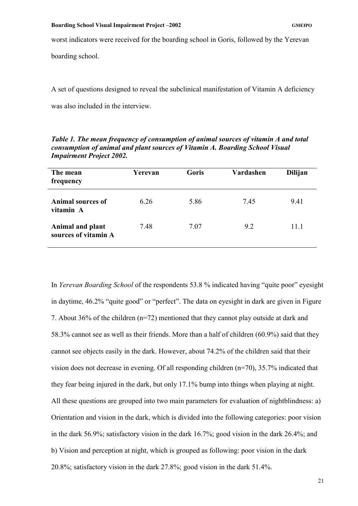worst indicators were received for the boarding school in Goris, followed by the Yerevan

boarding school.

A set of questions designed to reveal the subclinical manifestation of Vitamin A deficiency was also included in the interview.

| The mean<br>frequency                    | Yerevan | Goris | Vardashen | <b>Dilijan</b> |
|------------------------------------------|---------|-------|-----------|----------------|
| <b>Animal sources of</b><br>vitamin A    | 6.26    | 5.86  | 7.45      | 9.41           |
| Animal and plant<br>sources of vitamin A | 7.48    | 7.07  | 9.2       | 11.1           |

*Table 1. The mean frequency of consumption of animal sources of vitamin A and total consumption of animal and plant sources of Vitamin A. Boarding School Visual Impairment Project 2002.* 

In *Yerevan Boarding School* of the respondents 53.8 % indicated having "quite poor" eyesight in daytime, 46.2% "quite good" or "perfect". The data on eyesight in dark are given in Figure 7. About 36% of the children (n=72) mentioned that they cannot play outside at dark and 58.3% cannot see as well as their friends. More than a half of children (60.9%) said that they cannot see objects easily in the dark. However, about 74.2% of the children said that their vision does not decrease in evening. Of all responding children (n=70), 35.7% indicated that they fear being injured in the dark, but only 17.1% bump into things when playing at night. All these questions are grouped into two main parameters for evaluation of nightblindness: a) Orientation and vision in the dark, which is divided into the following categories: poor vision in the dark 56.9%; satisfactory vision in the dark 16.7%; good vision in the dark 26.4%; and b) Vision and perception at night, which is grouped as following: poor vision in the dark 20.8%; satisfactory vision in the dark 27.8%; good vision in the dark 51.4%.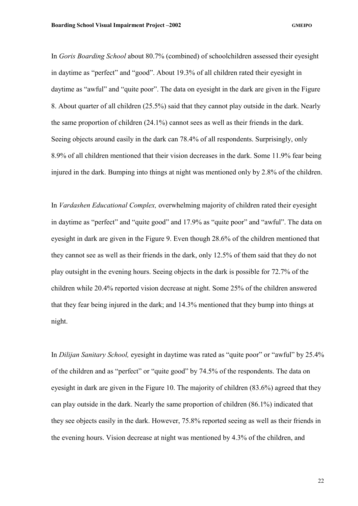In *Goris Boarding School* about 80.7% (combined) of schoolchildren assessed their eyesight in daytime as "perfect" and "good". About 19.3% of all children rated their eyesight in daytime as "awful" and "quite poor". The data on eyesight in the dark are given in the Figure 8. About quarter of all children (25.5%) said that they cannot play outside in the dark. Nearly the same proportion of children (24.1%) cannot sees as well as their friends in the dark. Seeing objects around easily in the dark can 78.4% of all respondents. Surprisingly, only 8.9% of all children mentioned that their vision decreases in the dark. Some 11.9% fear being injured in the dark. Bumping into things at night was mentioned only by 2.8% of the children.

In *Vardashen Educational Complex,* overwhelming majority of children rated their eyesight in daytime as "perfect" and "quite good" and 17.9% as "quite poor" and "awful". The data on eyesight in dark are given in the Figure 9. Even though 28.6% of the children mentioned that they cannot see as well as their friends in the dark, only 12.5% of them said that they do not play outsight in the evening hours. Seeing objects in the dark is possible for 72.7% of the children while 20.4% reported vision decrease at night. Some 25% of the children answered that they fear being injured in the dark; and 14.3% mentioned that they bump into things at night.

In *Dilijan Sanitary School,* eyesight in daytime was rated as "quite poor" or "awful" by 25.4% of the children and as "perfect" or "quite good" by 74.5% of the respondents. The data on eyesight in dark are given in the Figure 10. The majority of children (83.6%) agreed that they can play outside in the dark. Nearly the same proportion of children (86.1%) indicated that they see objects easily in the dark. However, 75.8% reported seeing as well as their friends in the evening hours. Vision decrease at night was mentioned by 4.3% of the children, and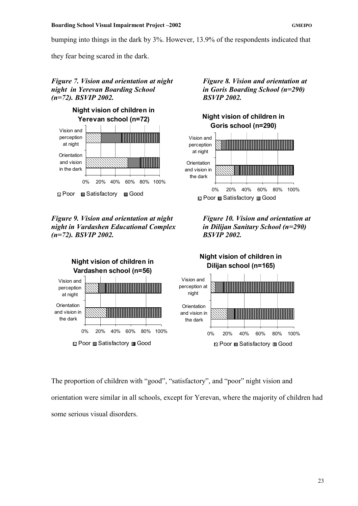bumping into things in the dark by 3%. However, 13.9% of the respondents indicated that

they fear being scared in the dark.

# *Figure 7. Vision and orientation at night* Figure 8. Vision and orientation at *night in Yerevan Boarding School in Goris Boarding School (n=290) (n=72). BSVIP 2002. BSVIP 2002.*



*Figure 9. Vision and orientation at night* Figure 10. *Vision and orientation at night in Vardashen Educational Complex in Dilijan Sanitary School (n=290) (n=72). BSVIP 2002. BSVIP 2002.*









The proportion of children with "good", "satisfactory", and "poor" night vision and orientation were similar in all schools, except for Yerevan, where the majority of children had some serious visual disorders.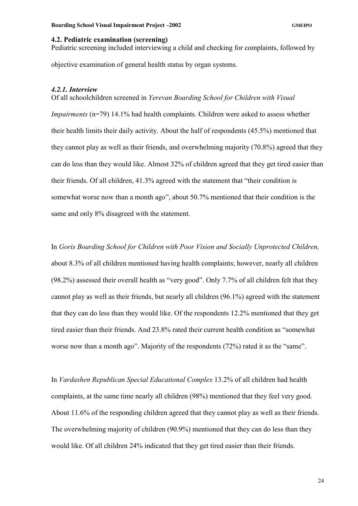### <span id="page-28-0"></span>**4.2. Pediatric examination (screening)**

Pediatric screening included interviewing a child and checking for complaints, followed by objective examination of general health status by organ systems.

#### *4.2.1. Interview*

Of all schoolchildren screened in *Yerevan Boarding School for Children with Visual* 

*Impairments* (n=79) 14.1% had health complaints. Children were asked to assess whether their health limits their daily activity. About the half of respondents (45.5%) mentioned that they cannot play as well as their friends, and overwhelming majority (70.8%) agreed that they can do less than they would like. Almost 32% of children agreed that they get tired easier than their friends. Of all children, 41.3% agreed with the statement that "their condition is somewhat worse now than a month ago", about 50.7% mentioned that their condition is the same and only 8% disagreed with the statement.

In *Goris Boarding School for Children with Poor Vision and Socially Unprotected Children,* about 8.3% of all children mentioned having health complaints; however, nearly all children (98.2%) assessed their overall health as "very good". Only 7.7% of all children felt that they cannot play as well as their friends, but nearly all children (96.1%) agreed with the statement that they can do less than they would like. Of the respondents 12.2% mentioned that they get tired easier than their friends. And 23.8% rated their current health condition as "somewhat worse now than a month ago". Majority of the respondents (72%) rated it as the "same".

In *Vardashen Republican Special Educational Complex* 13.2% of all children had health complaints, at the same time nearly all children (98%) mentioned that they feel very good. About 11.6% of the responding children agreed that they cannot play as well as their friends. The overwhelming majority of children (90.9%) mentioned that they can do less than they would like. Of all children 24% indicated that they get tired easier than their friends.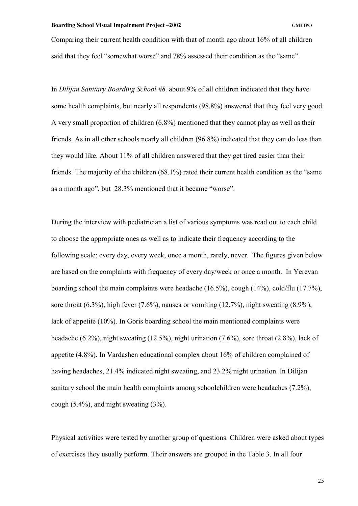Comparing their current health condition with that of month ago about 16% of all children said that they feel "somewhat worse" and 78% assessed their condition as the "same".

In *Dilijan Sanitary Boarding School #8,* about 9% of all children indicated that they have some health complaints, but nearly all respondents (98.8%) answered that they feel very good. A very small proportion of children (6.8%) mentioned that they cannot play as well as their friends. As in all other schools nearly all children (96.8%) indicated that they can do less than they would like. About 11% of all children answered that they get tired easier than their friends. The majority of the children (68.1%) rated their current health condition as the "same as a month ago", but 28.3% mentioned that it became "worse".

During the interview with pediatrician a list of various symptoms was read out to each child to choose the appropriate ones as well as to indicate their frequency according to the following scale: every day, every week, once a month, rarely, never. The figures given below are based on the complaints with frequency of every day/week or once a month. In Yerevan boarding school the main complaints were headache (16.5%), cough (14%), cold/flu (17.7%), sore throat  $(6.3\%)$ , high fever  $(7.6\%)$ , nausea or vomiting  $(12.7\%)$ , night sweating  $(8.9\%)$ . lack of appetite (10%). In Goris boarding school the main mentioned complaints were headache (6.2%), night sweating (12.5%), night urination (7.6%), sore throat (2.8%), lack of appetite (4.8%). In Vardashen educational complex about 16% of children complained of having headaches, 21.4% indicated night sweating, and 23.2% night urination. In Dilijan sanitary school the main health complaints among schoolchildren were headaches (7.2%), cough  $(5.4\%)$ , and night sweating  $(3\%)$ .

Physical activities were tested by another group of questions. Children were asked about types of exercises they usually perform. Their answers are grouped in the Table 3. In all four

25<sup>2</sup>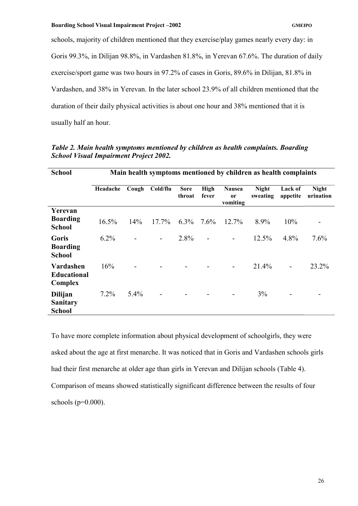schools, majority of children mentioned that they exercise/play games nearly every day: in Goris 99.3%, in Dilijan 98.8%, in Vardashen 81.8%, in Yerevan 67.6%. The duration of daily exercise/sport game was two hours in 97.2% of cases in Goris, 89.6% in Dilijan, 81.8% in Vardashen, and 38% in Yerevan. In the later school 23.9% of all children mentioned that the duration of their daily physical activities is about one hour and 38% mentioned that it is usually half an hour.

| <b>School</b>                               | Main health symptoms mentioned by children as health complaints |         |                |                       |                          |                                 |                          |                          |                           |
|---------------------------------------------|-----------------------------------------------------------------|---------|----------------|-----------------------|--------------------------|---------------------------------|--------------------------|--------------------------|---------------------------|
|                                             | Headache                                                        | Cough   | Cold/flu       | <b>Sore</b><br>throat | <b>High</b><br>fever     | <b>Nausea</b><br>or<br>vomiting | <b>Night</b><br>sweating | Lack of<br>appetite      | <b>Night</b><br>urination |
| Yerevan<br><b>Boarding</b><br><b>School</b> | $16.5\%$                                                        | 14%     | $17.7\%$       | $6.3\%$               | $7.6\%$                  | $12.7\%$                        | 8.9%                     | 10%                      |                           |
| Goris<br><b>Boarding</b><br><b>School</b>   | $6.2\%$                                                         |         | $\blacksquare$ | 2.8%                  | $\overline{\phantom{a}}$ | $\overline{\phantom{a}}$        | $12.5\%$                 | 4.8%                     | 7.6%                      |
| Vardashen<br><b>Educational</b><br>Complex  | 16%                                                             |         |                |                       |                          |                                 | 21.4%                    | $\overline{a}$           | 23.2%                     |
| Dilijan<br><b>Sanitary</b><br><b>School</b> | 7.2%                                                            | $5.4\%$ |                |                       |                          |                                 | 3%                       | $\overline{\phantom{a}}$ |                           |

*Table 2. Main health symptoms mentioned by children as health complaints. Boarding School Visual Impairment Project 2002.* 

To have more complete information about physical development of schoolgirls, they were asked about the age at first menarche. It was noticed that in Goris and Vardashen schools girls had their first menarche at older age than girls in Yerevan and Dilijan schools (Table 4). Comparison of means showed statistically significant difference between the results of four schools  $(p=0.000)$ .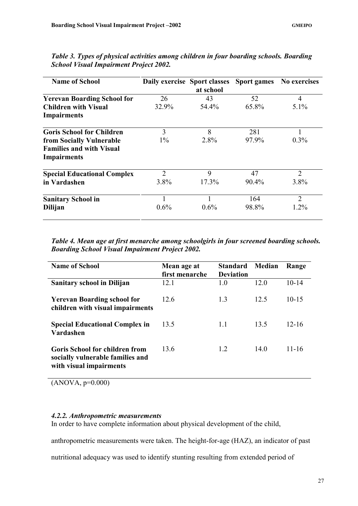| <b>Name of School</b>              | Daily exercise Sport classes | at school | <b>Sport games</b> | <b>No exercises</b> |
|------------------------------------|------------------------------|-----------|--------------------|---------------------|
| <b>Yerevan Boarding School for</b> | 26                           | 43        | 52                 | 4                   |
| <b>Children with Visual</b>        | 32.9%                        | 54.4%     | 65.8%              | $5.1\%$             |
| <b>Impairments</b>                 |                              |           |                    |                     |
| <b>Goris School for Children</b>   | 3                            | 8         | 281                |                     |
| from Socially Vulnerable           | $1\%$                        | 2.8%      | 97.9%              | $0.3\%$             |
| <b>Families and with Visual</b>    |                              |           |                    |                     |
| <b>Impairments</b>                 |                              |           |                    |                     |
| <b>Special Educational Complex</b> | $\overline{2}$               | 9         | 47                 | $\overline{2}$      |
| in Vardashen                       | $3.8\%$                      | 17.3%     | 90.4%              | 3.8%                |
| <b>Sanitary School in</b>          |                              |           | 164                | $\overline{2}$      |
| <b>Dilijan</b>                     | $0.6\%$                      | $0.6\%$   | 98.8%              | $1.2\%$             |

<span id="page-31-0"></span>*Table 3. Types of physical activities among children in four boarding schools. Boarding School Visual Impairment Project 2002.* 

*Table 4. Mean age at first menarche among schoolgirls in four screened boarding schools. Boarding School Visual Impairment Project 2002.* 

| <b>Name of School</b>                                                                         | Mean age at<br>first menarche | <b>Standard</b><br><b>Deviation</b> | Median | Range     |
|-----------------------------------------------------------------------------------------------|-------------------------------|-------------------------------------|--------|-----------|
| <b>Sanitary school in Dilijan</b>                                                             | 12.1                          | 1.0                                 | 12.0   | $10 - 14$ |
| <b>Yerevan Boarding school for</b><br>children with visual impairments                        | 12.6                          | 1.3                                 | 12.5   | $10 - 15$ |
| <b>Special Educational Complex in</b><br><b>Vardashen</b>                                     | 13.5                          | 11                                  | 13.5   | $12 - 16$ |
| Goris School for children from<br>socially vulnerable families and<br>with visual impairments | 13.6                          | 1.2                                 | 14.0   | 11-16     |

 $(ANOVA, p=0.000)$ 

# *4.2.2. Anthropometric measurements*

In order to have complete information about physical development of the child,

anthropometric measurements were taken. The height-for-age (HAZ), an indicator of past

nutritional adequacy was used to identify stunting resulting from extended period of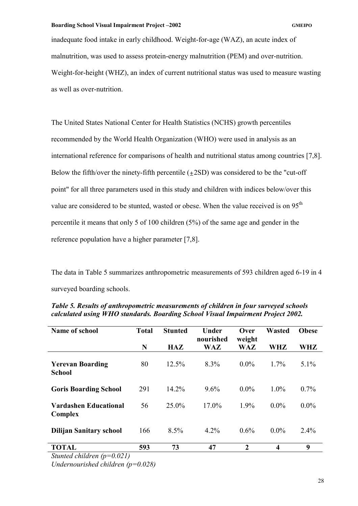inadequate food intake in early childhood. Weight-for-age (WAZ), an acute index of malnutrition, was used to assess protein-energy malnutrition (PEM) and over-nutrition. Weight-for-height (WHZ), an index of current nutritional status was used to measure wasting as well as over-nutrition.

The United States National Center for Health Statistics (NCHS) growth percentiles recommended by the World Health Organization (WHO) were used in analysis as an international reference for comparisons of health and nutritional status among countries [7,8]. Below the fifth/over the ninety-fifth percentile  $(\pm 2SD)$  was considered to be the "cut-off" point" for all three parameters used in this study and children with indices below/over this value are considered to be stunted, wasted or obese. When the value received is on  $95<sup>th</sup>$ percentile it means that only 5 of 100 children (5%) of the same age and gender in the reference population have a higher parameter [7,8].

The data in Table 5 summarizes anthropometric measurements of 593 children aged 6-19 in 4 surveyed boarding schools.

| <b>Name of school</b>                    | <b>Total</b> | <b>Stunted</b> | <b>Under</b><br>nourished | Over<br>weight   | <b>Wasted</b>           | <b>Obese</b> |
|------------------------------------------|--------------|----------------|---------------------------|------------------|-------------------------|--------------|
|                                          | N            | <b>HAZ</b>     | WAZ                       | <b>WAZ</b>       | WHZ                     | WHZ          |
| <b>Yerevan Boarding</b><br><b>School</b> | 80           | 12.5%          | 8.3%                      | $0.0\%$          | $1.7\%$                 | $5.1\%$      |
| <b>Goris Boarding School</b>             | 291          | 14.2%          | 9.6%                      | $0.0\%$          | $1.0\%$                 | $0.7\%$      |
| <b>Vardashen Educational</b><br>Complex  | 56           | $25.0\%$       | $17.0\%$                  | 1.9%             | $0.0\%$                 | $0.0\%$      |
| <b>Dilijan Sanitary school</b>           | 166          | 8.5%           | $4.2\%$                   | $0.6\%$          | $0.0\%$                 | 2.4%         |
| <b>TOTAL</b>                             | 593          | 73             | 47                        | $\boldsymbol{2}$ | $\overline{\mathbf{4}}$ | 9            |

*Table 5. Results of anthropometric measurements of children in four surveyed schools calculated using WHO standards. Boarding School Visual Impairment Project 2002.* 

*Stunted children (p=0.021)* 

*Undernourished children (p=0.028)*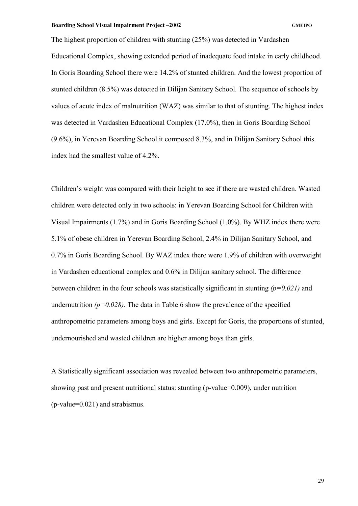The highest proportion of children with stunting (25%) was detected in Vardashen Educational Complex, showing extended period of inadequate food intake in early childhood. In Goris Boarding School there were 14.2% of stunted children. And the lowest proportion of stunted children (8.5%) was detected in Dilijan Sanitary School. The sequence of schools by values of acute index of malnutrition (WAZ) was similar to that of stunting. The highest index was detected in Vardashen Educational Complex (17.0%), then in Goris Boarding School (9.6%), in Yerevan Boarding School it composed 8.3%, and in Dilijan Sanitary School this index had the smallest value of 4.2%.

Children's weight was compared with their height to see if there are wasted children. Wasted children were detected only in two schools: in Yerevan Boarding School for Children with Visual Impairments (1.7%) and in Goris Boarding School (1.0%). By WHZ index there were 5.1% of obese children in Yerevan Boarding School, 2.4% in Dilijan Sanitary School, and 0.7% in Goris Boarding School. By WAZ index there were 1.9% of children with overweight in Vardashen educational complex and 0.6% in Dilijan sanitary school. The difference between children in the four schools was statistically significant in stunting *(p=0.021)* and undernutrition  $(p=0.028)$ . The data in Table 6 show the prevalence of the specified anthropometric parameters among boys and girls. Except for Goris, the proportions of stunted, undernourished and wasted children are higher among boys than girls.

A Statistically significant association was revealed between two anthropometric parameters, showing past and present nutritional status: stunting (p-value=0.009), under nutrition (p-value=0.021) and strabismus.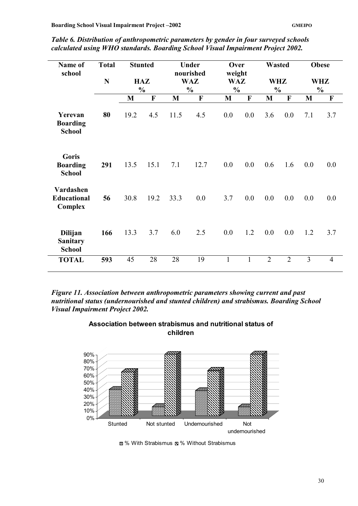| Name of<br>school                                  | <b>Total</b> |      | <b>Stunted</b>       |              | Under<br>nourished          | Over<br>weight              |              | <b>Wasted</b>               |                |     | <b>Obese</b>                |
|----------------------------------------------------|--------------|------|----------------------|--------------|-----------------------------|-----------------------------|--------------|-----------------------------|----------------|-----|-----------------------------|
|                                                    | N            |      | HAZ<br>$\frac{0}{0}$ |              | <b>WAZ</b><br>$\frac{0}{0}$ | <b>WAZ</b><br>$\frac{0}{0}$ |              | <b>WHZ</b><br>$\frac{0}{0}$ |                |     | <b>WHZ</b><br>$\frac{0}{0}$ |
|                                                    |              | M    | $\mathbf F$          | $\mathbf{M}$ | $\mathbf F$                 | $\mathbf{M}$                | $\mathbf F$  | $\mathbf{M}$                | $\mathbf F$    | M   | $\mathbf F$                 |
| Yerevan<br><b>Boarding</b><br><b>School</b>        | 80           | 19.2 | 4.5                  | 11.5         | 4.5                         | 0.0                         | 0.0          | 3.6                         | 0.0            | 7.1 | 3.7                         |
| Goris<br><b>Boarding</b><br><b>School</b>          | 291          | 13.5 | 15.1                 | 7.1          | 12.7                        | 0.0                         | 0.0          | 0.6                         | 1.6            | 0.0 | 0.0                         |
| Vardashen<br><b>Educational</b><br>Complex         | 56           | 30.8 | 19.2                 | 33.3         | 0.0                         | 3.7                         | 0.0          | 0.0                         | 0.0            | 0.0 | 0.0                         |
| <b>Dilijan</b><br><b>Sanitary</b><br><b>School</b> | 166          | 13.3 | 3.7                  | 6.0          | 2.5                         | 0.0                         | 1.2          | 0.0                         | 0.0            | 1.2 | 3.7                         |
| <b>TOTAL</b>                                       | 593          | 45   | 28                   | 28           | 19                          | $\mathbf{1}$                | $\mathbf{1}$ | $\overline{2}$              | $\overline{2}$ | 3   | $\overline{4}$              |

*Table 6. Distribution of anthropometric parameters by gender in four surveyed schools calculated using WHO standards. Boarding School Visual Impairment Project 2002.* 

*Figure 11. Association between anthropometric parameters showing current and past nutritional status (undernourished and stunted children) and strabismus. Boarding School Visual Impairment Project 2002.* 



**Association between strabismus and nutritional status of children** 

**Ø%** With Strabismus **S**% Without Strabismus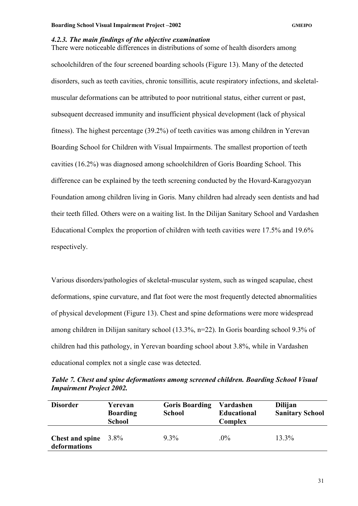### <span id="page-35-0"></span>*4.2.3. The main findings of the objective examination*

There were noticeable differences in distributions of some of health disorders among schoolchildren of the four screened boarding schools (Figure 13). Many of the detected disorders, such as teeth cavities, chronic tonsillitis, acute respiratory infections, and skeletalmuscular deformations can be attributed to poor nutritional status, either current or past, subsequent decreased immunity and insufficient physical development (lack of physical fitness). The highest percentage (39.2%) of teeth cavities was among children in Yerevan Boarding School for Children with Visual Impairments. The smallest proportion of teeth cavities (16.2%) was diagnosed among schoolchildren of Goris Boarding School. This difference can be explained by the teeth screening conducted by the Hovard-Karagyozyan Foundation among children living in Goris. Many children had already seen dentists and had their teeth filled. Others were on a waiting list. In the Dilijan Sanitary School and Vardashen Educational Complex the proportion of children with teeth cavities were 17.5% and 19.6% respectively.

Various disorders/pathologies of skeletal-muscular system, such as winged scapulae, chest deformations, spine curvature, and flat foot were the most frequently detected abnormalities of physical development (Figure 13). Chest and spine deformations were more widespread among children in Dilijan sanitary school (13.3%, n=22). In Goris boarding school 9.3% of children had this pathology, in Yerevan boarding school about 3.8%, while in Vardashen educational complex not a single case was detected.

| <b>Impairment Project 2002.</b> |         |                                 |         |  |
|---------------------------------|---------|---------------------------------|---------|--|
| <b>Disorder</b>                 | Yerevan | <b>Goris Boarding Vardashen</b> | Dilijan |  |

*Table 7. Chest and spine deformations among screened children. Boarding School Visual* 

| <b>Disorder</b>                         | Yerevan<br><b>Boarding</b><br><b>School</b> | <b>Goris Boarding</b><br><b>School</b> | Vardashen<br><b>Educational</b><br>Complex | <b>Dilijan</b><br><b>Sanitary School</b> |
|-----------------------------------------|---------------------------------------------|----------------------------------------|--------------------------------------------|------------------------------------------|
| Chest and spine $3.8\%$<br>deformations |                                             | $9.3\%$                                | $.0\%$                                     | $13.3\%$                                 |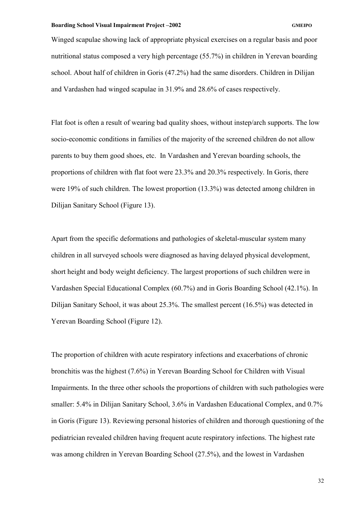Winged scapulae showing lack of appropriate physical exercises on a regular basis and poor nutritional status composed a very high percentage (55.7%) in children in Yerevan boarding school. About half of children in Goris (47.2%) had the same disorders. Children in Dilijan and Vardashen had winged scapulae in 31.9% and 28.6% of cases respectively.

Flat foot is often a result of wearing bad quality shoes, without instep/arch supports. The low socio-economic conditions in families of the majority of the screened children do not allow parents to buy them good shoes, etc. In Vardashen and Yerevan boarding schools, the proportions of children with flat foot were 23.3% and 20.3% respectively. In Goris, there were 19% of such children. The lowest proportion (13.3%) was detected among children in Dilijan Sanitary School (Figure 13).

Apart from the specific deformations and pathologies of skeletal-muscular system many children in all surveyed schools were diagnosed as having delayed physical development, short height and body weight deficiency. The largest proportions of such children were in Vardashen Special Educational Complex (60.7%) and in Goris Boarding School (42.1%). In Dilijan Sanitary School, it was about 25.3%. The smallest percent (16.5%) was detected in Yerevan Boarding School (Figure 12).

The proportion of children with acute respiratory infections and exacerbations of chronic bronchitis was the highest (7.6%) in Yerevan Boarding School for Children with Visual Impairments. In the three other schools the proportions of children with such pathologies were smaller: 5.4% in Dilijan Sanitary School, 3.6% in Vardashen Educational Complex, and 0.7% in Goris (Figure 13). Reviewing personal histories of children and thorough questioning of the pediatrician revealed children having frequent acute respiratory infections. The highest rate was among children in Yerevan Boarding School (27.5%), and the lowest in Vardashen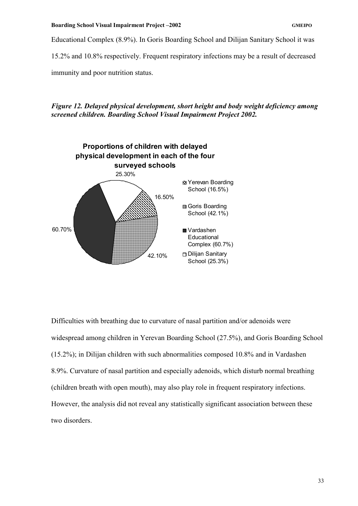Educational Complex (8.9%). In Goris Boarding School and Dilijan Sanitary School it was

15.2% and 10.8% respectively. Frequent respiratory infections may be a result of decreased

immunity and poor nutrition status.

*Figure 12. Delayed physical development, short height and body weight deficiency among screened children. Boarding School Visual Impairment Project 2002.* 



Difficulties with breathing due to curvature of nasal partition and/or adenoids were widespread among children in Yerevan Boarding School (27.5%), and Goris Boarding School (15.2%); in Dilijan children with such abnormalities composed 10.8% and in Vardashen 8.9%. Curvature of nasal partition and especially adenoids, which disturb normal breathing (children breath with open mouth), may also play role in frequent respiratory infections. However, the analysis did not reveal any statistically significant association between these two disorders.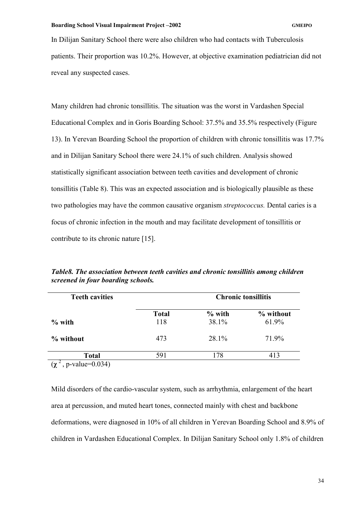In Dilijan Sanitary School there were also children who had contacts with Tuberculosis patients. Their proportion was 10.2%. However, at objective examination pediatrician did not reveal any suspected cases.

Many children had chronic tonsillitis. The situation was the worst in Vardashen Special Educational Complex and in Goris Boarding School: 37.5% and 35.5% respectively (Figure 13). In Yerevan Boarding School the proportion of children with chronic tonsillitis was 17.7% and in Dilijan Sanitary School there were 24.1% of such children. Analysis showed statistically significant association between teeth cavities and development of chronic tonsillitis (Table 8). This was an expected association and is biologically plausible as these two pathologies may have the common causative organism *streptococcus.* Dental caries is a focus of chronic infection in the mouth and may facilitate development of tonsillitis or contribute to its chronic nature [15].

| <b>Teeth cavities</b> |                     | <b>Chronic tonsillitis</b> |                    |
|-----------------------|---------------------|----------------------------|--------------------|
| $\%$ with             | <b>Total</b><br>118 | $%$ with<br>38.1%          | % without<br>61.9% |
| % without             | 473                 | 28.1%                      | 71.9%              |
| <b>Total</b>          | 591                 | .78                        | 413                |

*Table8. The association between teeth cavities and chronic tonsillitis among children screened in four boarding schools.* 

 $(\chi^2, p-value=0.034)$ 

Mild disorders of the cardio-vascular system, such as arrhythmia, enlargement of the heart area at percussion, and muted heart tones, connected mainly with chest and backbone deformations, were diagnosed in 10% of all children in Yerevan Boarding School and 8.9% of children in Vardashen Educational Complex. In Dilijan Sanitary School only 1.8% of children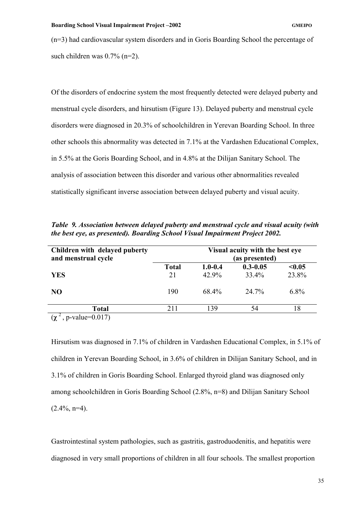(n=3) had cardiovascular system disorders and in Goris Boarding School the percentage of such children was 0.7% (n=2).

Of the disorders of endocrine system the most frequently detected were delayed puberty and menstrual cycle disorders, and hirsutism (Figure 13). Delayed puberty and menstrual cycle disorders were diagnosed in 20.3% of schoolchildren in Yerevan Boarding School. In three other schools this abnormality was detected in 7.1% at the Vardashen Educational Complex, in 5.5% at the Goris Boarding School, and in 4.8% at the Dilijan Sanitary School. The analysis of association between this disorder and various other abnormalities revealed statistically significant inverse association between delayed puberty and visual acuity.

*Table 9. Association between delayed puberty and menstrual cycle and visual acuity (with the best eye, as presented). Boarding School Visual Impairment Project 2002.* 

| Children with delayed puberty<br>and menstrual cycle |              | Visual acuity with the best eye<br>(as presented) |              |         |
|------------------------------------------------------|--------------|---------------------------------------------------|--------------|---------|
|                                                      | <b>Total</b> | $1.0 - 0.4$                                       | $0.3 - 0.05$ | < 0.05  |
| <b>YES</b>                                           | 21           | 42.9%                                             | 33.4%        | 23.8%   |
| N <sub>O</sub>                                       | 190          | 68.4%                                             | $24.7\%$     | $6.8\%$ |
| <b>Total</b>                                         | 211          | 139                                               | 54           | 18      |
| $\bigcap$ $\bigcap$ $\bigcap$                        |              |                                                   |              |         |

 $(χ<sup>2</sup>, p-value=0.017)$ 

Hirsutism was diagnosed in 7.1% of children in Vardashen Educational Complex, in 5.1% of children in Yerevan Boarding School, in 3.6% of children in Dilijan Sanitary School, and in 3.1% of children in Goris Boarding School. Enlarged thyroid gland was diagnosed only among schoolchildren in Goris Boarding School (2.8%, n=8) and Dilijan Sanitary School  $(2.4\%, n=4)$ .

Gastrointestinal system pathologies, such as gastritis, gastroduodenitis, and hepatitis were diagnosed in very small proportions of children in all four schools. The smallest proportion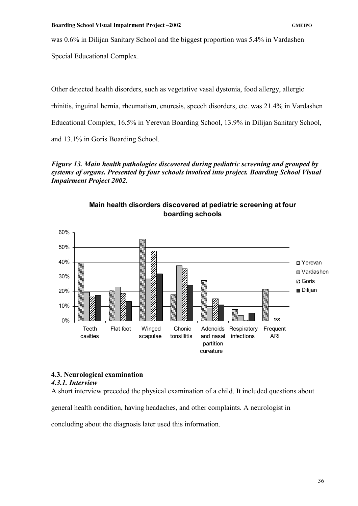was 0.6% in Dilijan Sanitary School and the biggest proportion was 5.4% in Vardashen

Special Educational Complex.

Other detected health disorders, such as vegetative vasal dystonia, food allergy, allergic rhinitis, inguinal hernia, rheumatism, enuresis, speech disorders, etc. was 21.4% in Vardashen Educational Complex, 16.5% in Yerevan Boarding School, 13.9% in Dilijan Sanitary School, and 13.1% in Goris Boarding School.

*Figure 13. Main health pathologies discovered during pediatric screening and grouped by systems of organs. Presented by four schools involved into project. Boarding School Visual Impairment Project 2002.* 



# **Main health disorders discovered at pediatric screening at four boarding schools**

# **4.3. Neurological examination**

# *4.3.1. Interview*

A short interview preceded the physical examination of a child. It included questions about

general health condition, having headaches, and other complaints. A neurologist in

concluding about the diagnosis later used this information.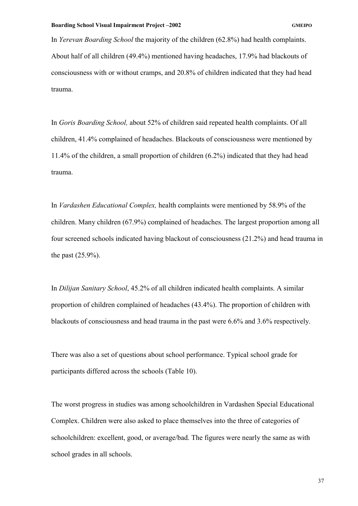In *Yerevan Boarding School* the majority of the children (62.8%) had health complaints. About half of all children (49.4%) mentioned having headaches, 17.9% had blackouts of consciousness with or without cramps, and 20.8% of children indicated that they had head trauma.

In *Goris Boarding School,* about 52% of children said repeated health complaints. Of all children, 41.4% complained of headaches. Blackouts of consciousness were mentioned by 11.4% of the children, a small proportion of children (6.2%) indicated that they had head trauma.

In *Vardashen Educational Complex,* health complaints were mentioned by 58.9% of the children. Many children (67.9%) complained of headaches. The largest proportion among all four screened schools indicated having blackout of consciousness (21.2%) and head trauma in the past (25.9%).

In *Dilijan Sanitary School*, 45.2% of all children indicated health complaints. A similar proportion of children complained of headaches (43.4%). The proportion of children with blackouts of consciousness and head trauma in the past were 6.6% and 3.6% respectively.

There was also a set of questions about school performance. Typical school grade for participants differed across the schools (Table 10).

The worst progress in studies was among schoolchildren in Vardashen Special Educational Complex. Children were also asked to place themselves into the three of categories of schoolchildren: excellent, good, or average/bad. The figures were nearly the same as with school grades in all schools.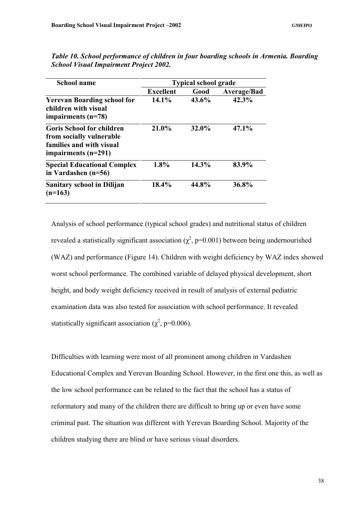| <b>School name</b>                                                                                                | <b>Typical school grade</b> |          |                    |  |
|-------------------------------------------------------------------------------------------------------------------|-----------------------------|----------|--------------------|--|
|                                                                                                                   | <b>Excellent</b>            | Good     | <b>Average/Bad</b> |  |
| <b>Yerevan Boarding school for</b><br>children with visual<br>impairments $(n=78)$                                | $14.1\%$                    | 43.6%    | $42.3\%$           |  |
| <b>Goris School for children</b><br>from socially vulnerable<br>families and with visual<br>impairments $(n=291)$ | 21.0%                       | $32.0\%$ | 47.1%              |  |
| <b>Special Educational Complex</b><br>in Vardashen (n=56)                                                         | 1.8%                        | 14.3%    | 83.9%              |  |
| <b>Sanitary school in Dilijan</b><br>$(n=163)$                                                                    | 18.4%                       | 44.8%    | 36.8%              |  |

*Table 10. School performance of children in four boarding schools in Armenia. Boarding School Visual Impairment Project 2002.* 

Analysis of school performance (typical school grades) and nutritional status of children revealed a statistically significant association ( $\chi^2$ , p=0.001) between being undernourished (WAZ) and performance (Figure 14). Children with weight deficiency by WAZ index showed worst school performance. The combined variable of delayed physical development, short height, and body weight deficiency received in result of analysis of external pediatric examination data was also tested for association with school performance. It revealed statistically significant association ( $\chi^2$ , p=0.006).

Difficulties with learning were most of all prominent among children in Vardashen Educational Complex and Yerevan Boarding School. However, in the first one this, as well as the low school performance can be related to the fact that the school has a status of reformatory and many of the children there are difficult to bring up or even have some criminal past. The situation was different with Yerevan Boarding School. Majority of the children studying there are blind or have serious visual disorders.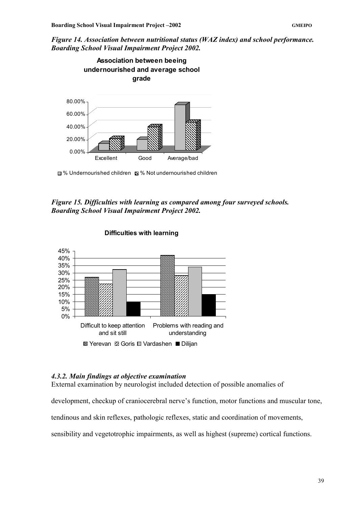*Figure 14. Association between nutritional status (WAZ index) and school performance. Boarding School Visual Impairment Project 2002.* 



■ % Undernourished children ■ % Not undernourished children

# *Figure 15. Difficulties with learning as compared among four surveyed schools. Boarding School Visual Impairment Project 2002.*



## **Difficulties with learning**

## *4.3.2. Main findings at objective examination*

External examination by neurologist included detection of possible anomalies of

development, checkup of craniocerebral nerve's function, motor functions and muscular tone,

tendinous and skin reflexes, pathologic reflexes, static and coordination of movements,

sensibility and vegetotrophic impairments, as well as highest (supreme) cortical functions.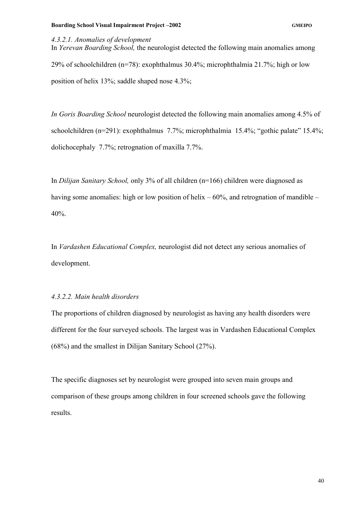## *4.3.2.1. Anomalies of development*

In *Yerevan Boarding School,* the neurologist detected the following main anomalies among 29% of schoolchildren (n=78): exophthalmus 30.4%; microphthalmia 21.7%; high or low position of helix 13%; saddle shaped nose 4.3%;

*In Goris Boarding School* neurologist detected the following main anomalies among 4.5% of schoolchildren (n=291): exophthalmus 7.7%; microphthalmia 15.4%; "gothic palate" 15.4%; dolichocephaly 7.7%; retrognation of maxilla 7.7%.

In *Dilijan Sanitary School,* only 3% of all children (n=166) children were diagnosed as having some anomalies: high or low position of helix  $-60\%$ , and retrognation of mandible – 40%.

In *Vardashen Educational Complex,* neurologist did not detect any serious anomalies of development.

## *4.3.2.2. Main health disorders*

The proportions of children diagnosed by neurologist as having any health disorders were different for the four surveyed schools. The largest was in Vardashen Educational Complex (68%) and the smallest in Dilijan Sanitary School (27%).

The specific diagnoses set by neurologist were grouped into seven main groups and comparison of these groups among children in four screened schools gave the following results.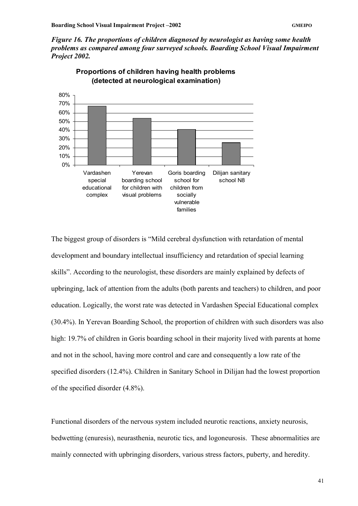*Figure 16. The proportions of children diagnosed by neurologist as having some health problems as compared among four surveyed schools. Boarding School Visual Impairment Project 2002.* 



**Proportions of children having health problems (detected at neurological examination)** 

The biggest group of disorders is "Mild cerebral dysfunction with retardation of mental development and boundary intellectual insufficiency and retardation of special learning skills". According to the neurologist, these disorders are mainly explained by defects of upbringing, lack of attention from the adults (both parents and teachers) to children, and poor education. Logically, the worst rate was detected in Vardashen Special Educational complex (30.4%). In Yerevan Boarding School, the proportion of children with such disorders was also high: 19.7% of children in Goris boarding school in their majority lived with parents at home and not in the school, having more control and care and consequently a low rate of the specified disorders (12.4%). Children in Sanitary School in Dilijan had the lowest proportion of the specified disorder (4.8%).

Functional disorders of the nervous system included neurotic reactions, anxiety neurosis, bedwetting (enuresis), neurasthenia, neurotic tics, and logoneurosis. These abnormalities are mainly connected with upbringing disorders, various stress factors, puberty, and heredity.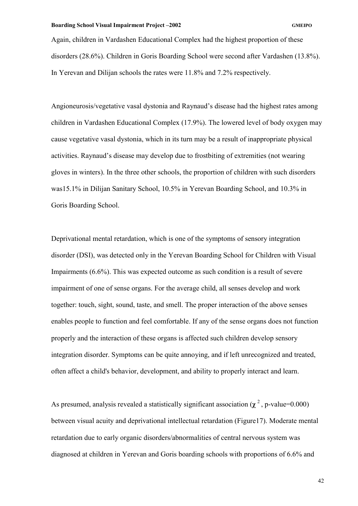Again, children in Vardashen Educational Complex had the highest proportion of these disorders (28.6%). Children in Goris Boarding School were second after Vardashen (13.8%). In Yerevan and Dilijan schools the rates were 11.8% and 7.2% respectively.

Angioneurosis/vegetative vasal dystonia and Raynaud's disease had the highest rates among children in Vardashen Educational Complex (17.9%). The lowered level of body oxygen may cause vegetative vasal dystonia, which in its turn may be a result of inappropriate physical activities. Raynaud's disease may develop due to frostbiting of extremities (not wearing gloves in winters). In the three other schools, the proportion of children with such disorders was15.1% in Dilijan Sanitary School, 10.5% in Yerevan Boarding School, and 10.3% in Goris Boarding School.

Deprivational mental retardation, which is one of the symptoms of sensory integration disorder (DSI), was detected only in the Yerevan Boarding School for Children with Visual Impairments (6.6%). This was expected outcome as such condition is a result of severe impairment of one of sense organs. For the average child, all senses develop and work together: touch, sight, sound, taste, and smell. The proper interaction of the above senses enables people to function and feel comfortable. If any of the sense organs does not function properly and the interaction of these organs is affected such children develop sensory integration disorder. Symptoms can be quite annoying, and if left unrecognized and treated, often affect a child's behavior, development, and ability to properly interact and learn.

As presumed, analysis revealed a statistically significant association  $(\chi^2$ , p-value=0.000) between visual acuity and deprivational intellectual retardation (Figure17). Moderate mental retardation due to early organic disorders/abnormalities of central nervous system was diagnosed at children in Yerevan and Goris boarding schools with proportions of 6.6% and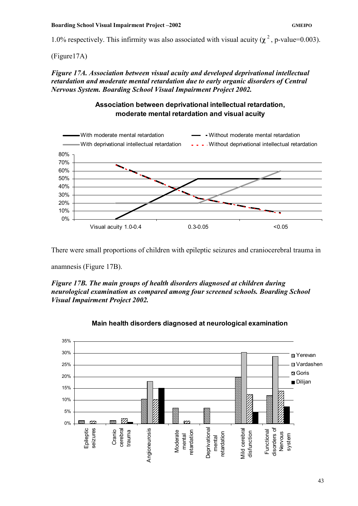1.0% respectively. This infirmity was also associated with visual acuity  $(\chi^2$ , p-value=0.003).

(Figure17A)

*Figure 17A. Association between visual acuity and developed deprivational intellectual retardation and moderate mental retardation due to early organic disorders of Central Nervous System. Boarding School Visual Impairment Project 2002.* 

# **Association between deprivational intellectual retardation, moderate mental retardation and visual acuity**



There were small proportions of children with epileptic seizures and craniocerebral trauma in

anamnesis (Figure 17B).

*Figure 17B. The main groups of health disorders diagnosed at children during neurological examination as compared among four screened schools. Boarding School Visual Impairment Project 2002.* 



# **Main health disorders diagnosed at neurological examination**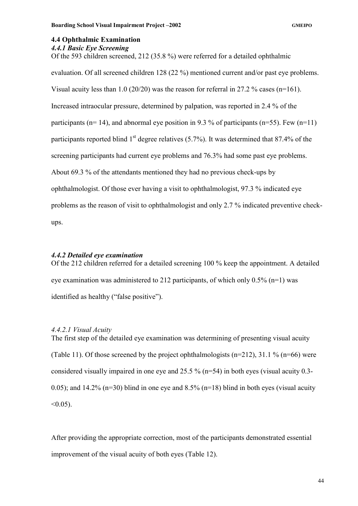## **4.4 Ophthalmic Examination**

### *4.4.1 Basic Eye Screening*

Of the 593 children screened, 212 (35.8 %) were referred for a detailed ophthalmic

evaluation. Of all screened children 128 (22 %) mentioned current and/or past eye problems. Visual acuity less than 1.0 (20/20) was the reason for referral in 27.2 % cases (n=161). Increased intraocular pressure, determined by palpation, was reported in 2.4 % of the participants ( $n=14$ ), and abnormal eye position in 9.3 % of participants ( $n=55$ ). Few ( $n=11$ ) participants reported blind  $1<sup>st</sup>$  degree relatives (5.7%). It was determined that 87.4% of the screening participants had current eye problems and 76.3% had some past eye problems. About 69.3 % of the attendants mentioned they had no previous check-ups by ophthalmologist. Of those ever having a visit to ophthalmologist, 97.3 % indicated eye problems as the reason of visit to ophthalmologist and only 2.7 % indicated preventive checkups.

## *4.4.2 Detailed eye examination*

Of the 212 children referred for a detailed screening 100 % keep the appointment. A detailed eye examination was administered to 212 participants, of which only  $0.5\%$  (n=1) was identified as healthy ("false positive").

## *4.4.2.1 Visual Acuity*

The first step of the detailed eye examination was determining of presenting visual acuity (Table 11). Of those screened by the project ophthalmologists (n=212), 31.1 % (n=66) were considered visually impaired in one eye and 25.5 % (n=54) in both eyes (visual acuity 0.3- 0.05); and 14.2% ( $n=30$ ) blind in one eye and 8.5% ( $n=18$ ) blind in both eyes (visual acuity  $< 0.05$ ).

After providing the appropriate correction, most of the participants demonstrated essential improvement of the visual acuity of both eyes (Table 12).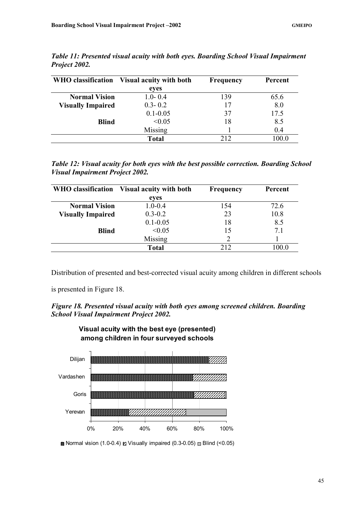|                          | WHO classification Visual acuity with both | Frequency | Percent |  |
|--------------------------|--------------------------------------------|-----------|---------|--|
|                          | eyes                                       |           |         |  |
| <b>Normal Vision</b>     | $1.0 - 0.4$                                | 139       | 65.6    |  |
| <b>Visually Impaired</b> | $0.3 - 0.2$                                | 17        | 8.0     |  |
|                          | $0.1 - 0.05$                               | 37        | 17.5    |  |
| <b>Blind</b>             | < 0.05                                     | 18        | 8.5     |  |
|                          | Missing                                    |           | 0.4     |  |
|                          | <b>Total</b>                               | 212       | 100.0   |  |

*Table 11: Presented visual acuity with both eyes. Boarding School Visual Impairment Project 2002.* 

*Table 12: Visual acuity for both eyes with the best possible correction. Boarding School Visual Impairment Project 2002.* 

|                          | WHO classification Visual acuity with both | Frequency | Percent |  |
|--------------------------|--------------------------------------------|-----------|---------|--|
|                          | eyes                                       |           |         |  |
| <b>Normal Vision</b>     | $1.0 - 0.4$                                | 154       | 72.6    |  |
| <b>Visually Impaired</b> | $0.3 - 0.2$                                | 23        | 10.8    |  |
|                          | $0.1 - 0.05$                               | 18        | 8.5     |  |
| <b>Blind</b>             | < 0.05                                     | 15        | 7.1     |  |
|                          | Missing                                    |           |         |  |
|                          | <b>Total</b>                               | 212       | 100.0   |  |

Distribution of presented and best-corrected visual acuity among children in different schools

is presented in Figure 18.





Normal vision (1.0-0.4)  $\boldsymbol{\mathsf{z}}$  Visually impaired (0.3-0.05)  $\boldsymbol{\mathsf{z}}$  Blind (<0.05)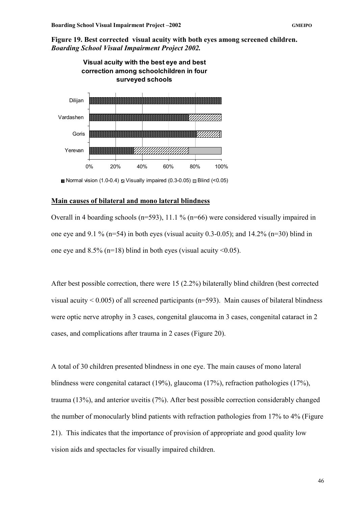**Figure 19. Best corrected visual acuity with both eyes among screened children.**  *Boarding School Visual Impairment Project 2002.* 



**B** Normal vision (1.0-0.4)  $\boldsymbol{\mathsf{z}}$  Visually impaired (0.3-0.05)  $\boldsymbol{\mathsf{z}}$  Blind (<0.05)

# **Main causes of bilateral and mono lateral blindness**

Overall in 4 boarding schools (n=593), 11.1 % (n=66) were considered visually impaired in one eye and 9.1 % (n=54) in both eyes (visual acuity 0.3-0.05); and 14.2% (n=30) blind in one eye and  $8.5\%$  (n=18) blind in both eyes (visual acuity <0.05).

After best possible correction, there were 15 (2.2%) bilaterally blind children (best corrected visual acuity  $\leq 0.005$ ) of all screened participants (n=593). Main causes of bilateral blindness were optic nerve atrophy in 3 cases, congenital glaucoma in 3 cases, congenital cataract in 2 cases, and complications after trauma in 2 cases (Figure 20).

A total of 30 children presented blindness in one eye. The main causes of mono lateral blindness were congenital cataract (19%), glaucoma (17%), refraction pathologies (17%), trauma (13%), and anterior uveitis (7%). After best possible correction considerably changed the number of monocularly blind patients with refraction pathologies from 17% to 4% (Figure 21). This indicates that the importance of provision of appropriate and good quality low vision aids and spectacles for visually impaired children.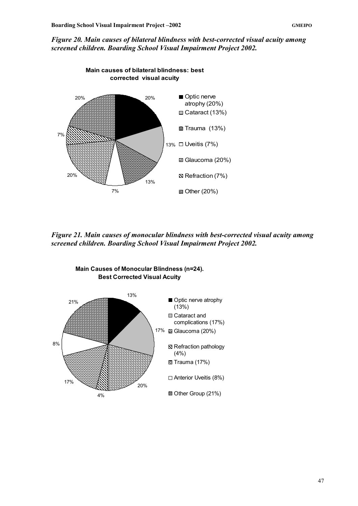*Figure 20. Main causes of bilateral blindness with best-corrected visual acuity among screened children. Boarding School Visual Impairment Project 2002.* 



*Figure 21. Main causes of monocular blindness with best-corrected visual acuity among screened children. Boarding School Visual Impairment Project 2002.* 



**Main Causes of Monocular Blindness (n=24). Best Corrected Visual Acuity**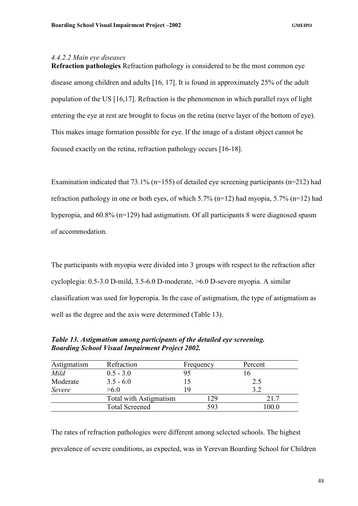## *4.4.2.2 Main eye diseases*

**Refraction pathologies** Refraction pathology is considered to be the most common eye disease among children and adults [16, 17]. It is found in approximately 25% of the adult population of the US [16,17]. Refraction is the phenomenon in which parallel rays of light entering the eye at rest are brought to focus on the retina (nerve layer of the bottom of eye). This makes image formation possible for eye. If the image of a distant object cannot be focused exactly on the retina, refraction pathology occurs [16-18].

Examination indicated that 73.1% (n=155) of detailed eye screening participants (n=212) had refraction pathology in one or both eyes, of which  $5.7\%$  (n=12) had myopia,  $5.7\%$  (n=12) had hyperopia, and 60.8% (n=129) had astigmatism. Of all participants 8 were diagnosed spasm of accommodation.

The participants with myopia were divided into 3 groups with respect to the refraction after cycloplegia: 0.5-3.0 D-mild, 3.5-6.0 D-moderate, >6.0 D-severe myopia. A similar classification was used for hyperopia. In the case of astigmatism, the type of astigmatism as well as the degree and the axis were determined (Table 13).

| Astigmatism | Refraction             | Frequency | Percent |
|-------------|------------------------|-----------|---------|
| Mild        | $0.5 - 3.0$            | 95        |         |
| Moderate    | $3.5 - 6.0$            |           | 2.5     |
| Severe      | >6 0                   | 19        | 3.2     |
|             | Total with Astigmatism | 129       | 21.7    |
|             | <b>Total Screened</b>  | 593       | 0.00    |

*Table 13. Astigmatism among participants of the detailed eye screening. Boarding School Visual Impairment Project 2002.* 

The rates of refraction pathologies were different among selected schools. The highest prevalence of severe conditions, as expected, was in Yerevan Boarding School for Children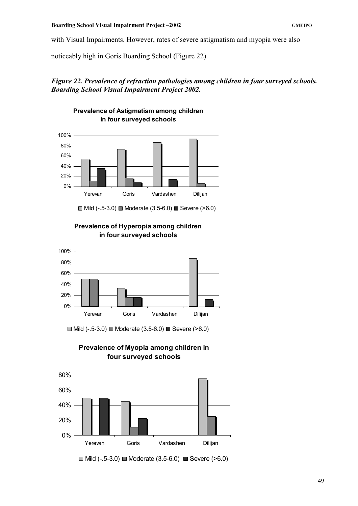with Visual Impairments. However, rates of severe astigmatism and myopia were also

noticeably high in Goris Boarding School (Figure 22).

# *Figure 22. Prevalence of refraction pathologies among children in four surveyed schools. Boarding School Visual Impairment Project 2002.*



**Prevalence of Astigmatism among children** 

# **Prevalence of Hyperopia among children in four surveyed schools**



 $\Box$  Mild (-.5-3.0)  $\Box$  Moderate (3.5-6.0)  $\Box$  Severe (>6.0)

**Prevalence of Myopia among children in four surveyed schools**



 $\Box$  Mild (-.5-3.0)  $\Box$  Moderate (3.5-6.0)  $\Box$  Severe (>6.0)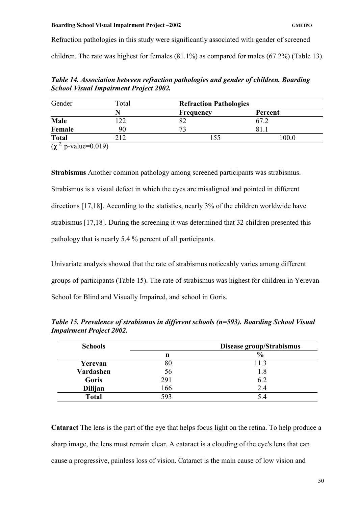Refraction pathologies in this study were significantly associated with gender of screened children. The rate was highest for females (81.1%) as compared for males (67.2%) (Table 13).

*Table 14. Association between refraction pathologies and gender of children. Boarding School Visual Impairment Project 2002.* 

| Gender       | Total  | <b>Refraction Pathologies</b> |         |
|--------------|--------|-------------------------------|---------|
|              |        | <b>Frequency</b>              | Percent |
| Male         |        | 82                            | 67.2    |
| Female       | 90     | 72                            |         |
| <b>Total</b> |        |                               | 100.0   |
|              | 0.0101 |                               |         |

 $(χ<sup>2</sup>, p-value=0.019)$ 

**Strabismus** Another common pathology among screened participants was strabismus. Strabismus is a visual defect in which the eyes are misaligned and pointed in different directions [17,18]. According to the statistics, nearly 3% of the children worldwide have strabismus [17,18]. During the screening it was determined that 32 children presented this pathology that is nearly 5.4 % percent of all participants.

Univariate analysis showed that the rate of strabismus noticeably varies among different groups of participants (Table 15). The rate of strabismus was highest for children in Yerevan School for Blind and Visually Impaired, and school in Goris.

**Schools Disease group/Strabismus**   $\mathbf{n}$   $\mathbf{v}_0$ **Yerevan** 80 11.3 **Vardashen** 56 1.8 Goris 291 6.2 **Dilijan** 166 2.4

**Total** 593 5.4

*Table 15. Prevalence of strabismus in different schools (n=593). Boarding School Visual Impairment Project 2002.* 

**Cataract** The lens is the part of the eye that helps focus light on the retina. To help produce a sharp image, the lens must remain clear. A cataract is a clouding of the eye's lens that can cause a progressive, painless loss of vision. Cataract is the main cause of low vision and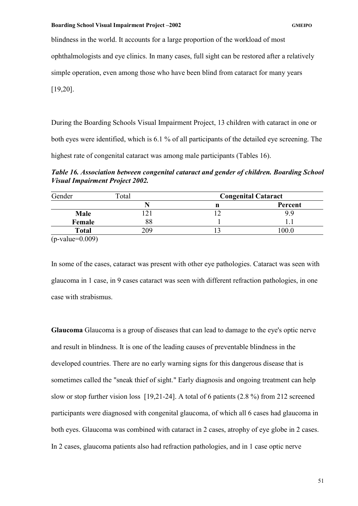blindness in the world. It accounts for a large proportion of the workload of most

ophthalmologists and eye clinics. In many cases, full sight can be restored after a relatively

simple operation, even among those who have been blind from cataract for many years

[19,20].

During the Boarding Schools Visual Impairment Project, 13 children with cataract in one or both eyes were identified, which is 6.1 % of all participants of the detailed eye screening. The highest rate of congenital cataract was among male participants (Tables 16).

*Table 16. Association between congenital cataract and gender of children. Boarding School Visual Impairment Project 2002.* 

| Gender                      | Total | <b>Congenital Cataract</b> |         |
|-----------------------------|-------|----------------------------|---------|
|                             |       | n                          | Percent |
| <b>Male</b>                 |       |                            | 9 Q     |
| Female                      | 88    |                            |         |
| <b>Total</b>                | 209   |                            | 0.00    |
| $(n \text{ value} - 0.000)$ |       |                            |         |

(p-value=0.009)

In some of the cases, cataract was present with other eye pathologies. Cataract was seen with glaucoma in 1 case, in 9 cases cataract was seen with different refraction pathologies, in one case with strabismus.

**Glaucoma** Glaucoma is a group of diseases that can lead to damage to the eye's optic nerve and result in blindness. It is one of the leading causes of preventable blindness in the developed countries. There are no early warning signs for this dangerous disease that is sometimes called the "sneak thief of sight." Early diagnosis and ongoing treatment can help slow or stop further vision loss [19,21-24]. A total of 6 patients (2.8 %) from 212 screened participants were diagnosed with congenital glaucoma, of which all 6 cases had glaucoma in both eyes. Glaucoma was combined with cataract in 2 cases, atrophy of eye globe in 2 cases. In 2 cases, glaucoma patients also had refraction pathologies, and in 1 case optic nerve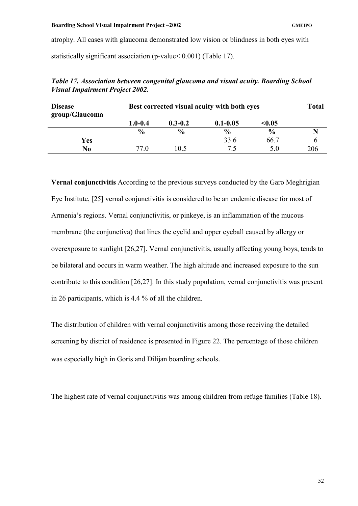atrophy. All cases with glaucoma demonstrated low vision or blindness in both eyes with statistically significant association (p-value< 0.001) (Table 17).

| <b>Disease</b><br>group/Glaucoma | Best corrected visual acuity with both eyes |               |               |               |     |
|----------------------------------|---------------------------------------------|---------------|---------------|---------------|-----|
|                                  | $1.0 - 0.4$                                 | $0.3 - 0.2$   | $0.1 - 0.05$  | < 0.05        |     |
|                                  | $\frac{0}{0}$                               | $\frac{0}{0}$ | $\frac{6}{9}$ | $\frac{6}{9}$ |     |
| Yes                              |                                             |               | 33.6          | 66.7          |     |
| N <sub>0</sub>                   | 77 O                                        | 10.5          | 75            | 5 Q           | 206 |

*Table 17. Association between congenital glaucoma and visual acuity. Boarding School Visual Impairment Project 2002.* 

**Vernal conjunctivitis** According to the previous surveys conducted by the Garo Meghrigian Eye Institute, [25] vernal conjunctivitis is considered to be an endemic disease for most of Armenia's regions. Vernal conjunctivitis, or pinkeye, is an inflammation of the mucous membrane (the conjunctiva) that lines the eyelid and upper eyeball caused by allergy or overexposure to sunlight [26,27]. Vernal conjunctivitis, usually affecting young boys, tends to be bilateral and occurs in warm weather. The high altitude and increased exposure to the sun contribute to this condition [26,27]. In this study population, vernal conjunctivitis was present in 26 participants, which is 4.4 % of all the children.

The distribution of children with vernal conjunctivitis among those receiving the detailed screening by district of residence is presented in Figure 22. The percentage of those children was especially high in Goris and Dilijan boarding schools.

The highest rate of vernal conjunctivitis was among children from refuge families (Table 18).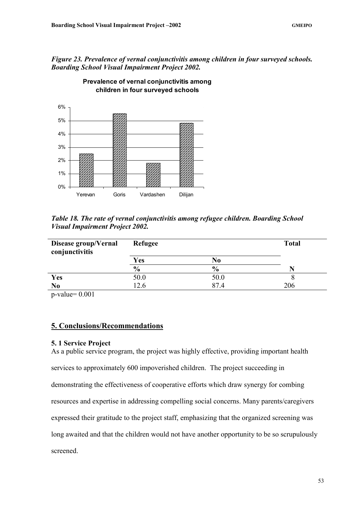# *Figure 23. Prevalence of vernal conjunctivitis among children in four surveyed schools. Boarding School Visual Impairment Project 2002.*



**Prevalence of vernal conjunctivitis among children in four surveyed schools**

*Table 18. The rate of vernal conjunctivitis among refugee children. Boarding School Visual Impairment Project 2002.* 

| Disease group/Vernal<br>conjunctivitis | Refugee       | <b>Total</b>   |     |
|----------------------------------------|---------------|----------------|-----|
|                                        | Yes           | N <sub>0</sub> |     |
|                                        | $\frac{0}{0}$ | $\frac{6}{9}$  |     |
| <b>Yes</b>                             | 50.0          | 50.0           |     |
| N <sub>o</sub>                         | 12.6          | 874            | 206 |

p-value= 0.001

# **5. Conclusions/Recommendations**

## **5. 1 Service Project**

As a public service program, the project was highly effective, providing important health services to approximately 600 impoverished children. The project succeeding in demonstrating the effectiveness of cooperative efforts which draw synergy for combing resources and expertise in addressing compelling social concerns. Many parents/caregivers expressed their gratitude to the project staff, emphasizing that the organized screening was long awaited and that the children would not have another opportunity to be so scrupulously screened.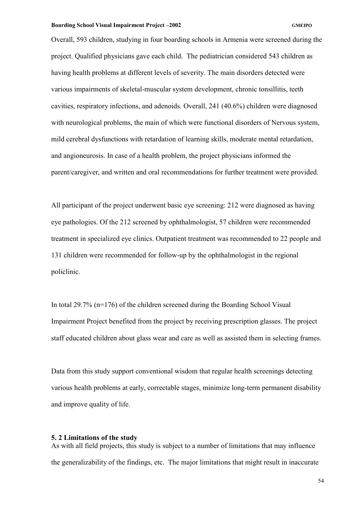Overall, 593 children, studying in four boarding schools in Armenia were screened during the project. Qualified physicians gave each child. The pediatrician considered 543 children as having health problems at different levels of severity. The main disorders detected were various impairments of skeletal-muscular system development, chronic tonsillitis, teeth cavities, respiratory infections, and adenoids. Overall, 241 (40.6%) children were diagnosed with neurological problems, the main of which were functional disorders of Nervous system, mild cerebral dysfunctions with retardation of learning skills, moderate mental retardation, and angioneurosis. In case of a health problem, the project physicians informed the parent/caregiver, and written and oral recommendations for further treatment were provided.

All participant of the project underwent basic eye screening: 212 were diagnosed as having eye pathologies. Of the 212 screened by ophthalmologist, 57 children were recommended treatment in specialized eye clinics. Outpatient treatment was recommended to 22 people and 131 children were recommended for follow-up by the ophthalmologist in the regional policlinic.

In total 29.7% (n=176) of the children screened during the Boarding School Visual Impairment Project benefited from the project by receiving prescription glasses. The project staff educated children about glass wear and care as well as assisted them in selecting frames.

Data from this study support conventional wisdom that regular health screenings detecting various health problems at early, correctable stages, minimize long-term permanent disability and improve quality of life.

## **5. 2 Limitations of the study**

As with all field projects, this study is subject to a number of limitations that may influence the generalizability of the findings, etc. The major limitations that might result in inaccurate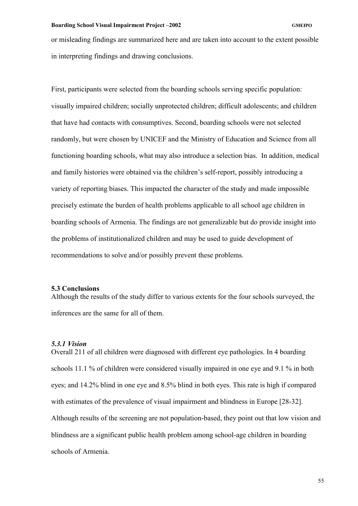or misleading findings are summarized here and are taken into account to the extent possible in interpreting findings and drawing conclusions.

First, participants were selected from the boarding schools serving specific population: visually impaired children; socially unprotected children; difficult adolescents; and children that have had contacts with consumptives. Second, boarding schools were not selected randomly, but were chosen by UNICEF and the Ministry of Education and Science from all functioning boarding schools, what may also introduce a selection bias. In addition, medical and family histories were obtained via the children's self-report, possibly introducing a variety of reporting biases. This impacted the character of the study and made impossible precisely estimate the burden of health problems applicable to all school age children in boarding schools of Armenia. The findings are not generalizable but do provide insight into the problems of institutionalized children and may be used to guide development of recommendations to solve and/or possibly prevent these problems.

## **5.3 Conclusions**

Although the results of the study differ to various extents for the four schools surveyed, the inferences are the same for all of them.

## *5.3.1 Vision*

Overall 211 of all children were diagnosed with different eye pathologies. In 4 boarding schools 11.1 % of children were considered visually impaired in one eye and 9.1 % in both eyes; and 14.2% blind in one eye and 8.5% blind in both eyes. This rate is high if compared with estimates of the prevalence of visual impairment and blindness in Europe [28-32]. Although results of the screening are not population-based, they point out that low vision and blindness are a significant public health problem among school-age children in boarding schools of Armenia.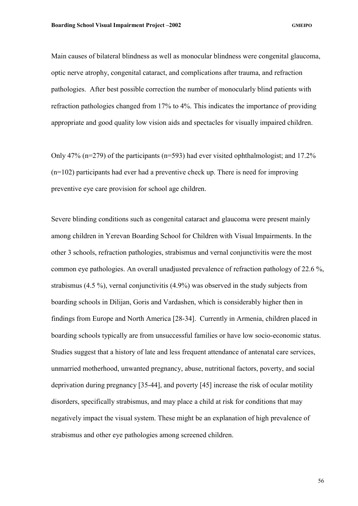Main causes of bilateral blindness as well as monocular blindness were congenital glaucoma, optic nerve atrophy, congenital cataract, and complications after trauma, and refraction pathologies. After best possible correction the number of monocularly blind patients with refraction pathologies changed from 17% to 4%. This indicates the importance of providing appropriate and good quality low vision aids and spectacles for visually impaired children.

Only 47% ( $n=279$ ) of the participants ( $n=593$ ) had ever visited ophthalmologist; and 17.2% (n=102) participants had ever had a preventive check up. There is need for improving preventive eye care provision for school age children.

Severe blinding conditions such as congenital cataract and glaucoma were present mainly among children in Yerevan Boarding School for Children with Visual Impairments. In the other 3 schools, refraction pathologies, strabismus and vernal conjunctivitis were the most common eye pathologies. An overall unadjusted prevalence of refraction pathology of 22.6 %, strabismus (4.5 %), vernal conjunctivitis (4.9%) was observed in the study subjects from boarding schools in Dilijan, Goris and Vardashen, which is considerably higher then in findings from Europe and North America [28-34]. Currently in Armenia, children placed in boarding schools typically are from unsuccessful families or have low socio-economic status. Studies suggest that a history of late and less frequent attendance of antenatal care services, unmarried motherhood, unwanted pregnancy, abuse, nutritional factors, poverty, and social deprivation during pregnancy [35-44], and poverty [45] increase the risk of ocular motility disorders, specifically strabismus, and may place a child at risk for conditions that may negatively impact the visual system. These might be an explanation of high prevalence of strabismus and other eye pathologies among screened children.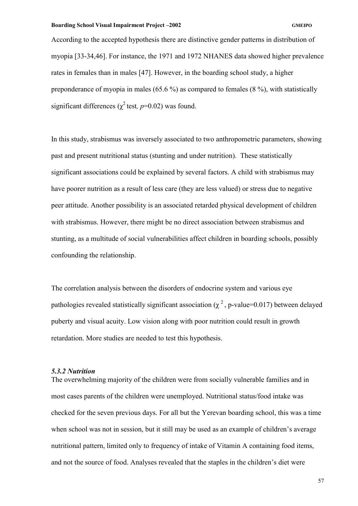According to the accepted hypothesis there are distinctive gender patterns in distribution of myopia [33-34,46]. For instance, the 1971 and 1972 NHANES data showed higher prevalence rates in females than in males [47]. However, in the boarding school study, a higher preponderance of myopia in males (65.6 %) as compared to females (8 %), with statistically significant differences ( $\chi^2$  test,  $p=0.02$ ) was found.

In this study, strabismus was inversely associated to two anthropometric parameters, showing past and present nutritional status (stunting and under nutrition). These statistically significant associations could be explained by several factors. A child with strabismus may have poorer nutrition as a result of less care (they are less valued) or stress due to negative peer attitude. Another possibility is an associated retarded physical development of children with strabismus. However, there might be no direct association between strabismus and stunting, as a multitude of social vulnerabilities affect children in boarding schools, possibly confounding the relationship.

The correlation analysis between the disorders of endocrine system and various eye pathologies revealed statistically significant association ( $\chi^2$ , p-value=0.017) between delayed puberty and visual acuity. Low vision along with poor nutrition could result in growth retardation. More studies are needed to test this hypothesis.

## *5.3.2 Nutrition*

The overwhelming majority of the children were from socially vulnerable families and in most cases parents of the children were unemployed. Nutritional status/food intake was checked for the seven previous days. For all but the Yerevan boarding school, this was a time when school was not in session, but it still may be used as an example of children's average nutritional pattern, limited only to frequency of intake of Vitamin A containing food items, and not the source of food. Analyses revealed that the staples in the children's diet were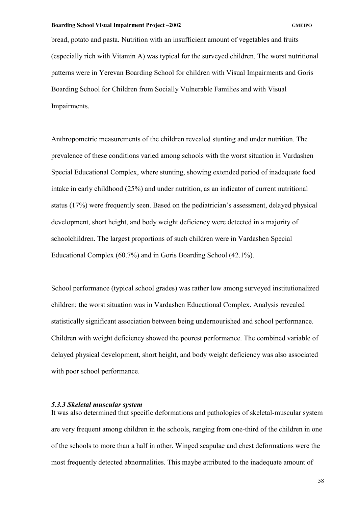bread, potato and pasta. Nutrition with an insufficient amount of vegetables and fruits (especially rich with Vitamin A) was typical for the surveyed children. The worst nutritional patterns were in Yerevan Boarding School for children with Visual Impairments and Goris Boarding School for Children from Socially Vulnerable Families and with Visual Impairments.

Anthropometric measurements of the children revealed stunting and under nutrition. The prevalence of these conditions varied among schools with the worst situation in Vardashen Special Educational Complex, where stunting, showing extended period of inadequate food intake in early childhood (25%) and under nutrition, as an indicator of current nutritional status (17%) were frequently seen. Based on the pediatrician's assessment, delayed physical development, short height, and body weight deficiency were detected in a majority of schoolchildren. The largest proportions of such children were in Vardashen Special Educational Complex (60.7%) and in Goris Boarding School (42.1%).

School performance (typical school grades) was rather low among surveyed institutionalized children; the worst situation was in Vardashen Educational Complex. Analysis revealed statistically significant association between being undernourished and school performance. Children with weight deficiency showed the poorest performance. The combined variable of delayed physical development, short height, and body weight deficiency was also associated with poor school performance.

## *5.3.3 Skeletal muscular system*

It was also determined that specific deformations and pathologies of skeletal-muscular system are very frequent among children in the schools, ranging from one-third of the children in one of the schools to more than a half in other. Winged scapulae and chest deformations were the most frequently detected abnormalities. This maybe attributed to the inadequate amount of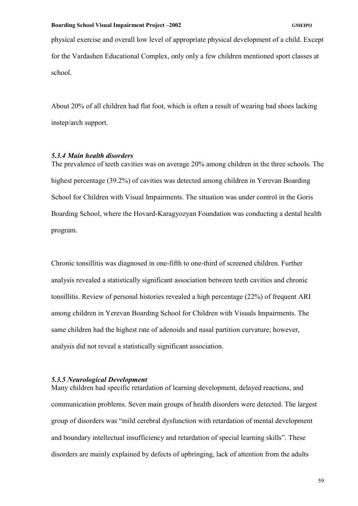physical exercise and overall low level of appropriate physical development of a child. Except for the Vardashen Educational Complex, only only a few children mentioned sport classes at school.

About 20% of all children had flat foot, which is often a result of wearing bad shoes lacking instep/arch support.

# *5.3.4 Main health disorders*

The prevalence of teeth cavities was on average 20% among children in the three schools. The highest percentage (39.2%) of cavities was detected among children in Yerevan Boarding School for Children with Visual Impairments. The situation was under control in the Goris Boarding School, where the Hovard-Karagyozyan Foundation was conducting a dental health program.

Chronic tonsillitis was diagnosed in one-fifth to one-third of screened children. Further analysis revealed a statistically significant association between teeth cavities and chronic tonsillitis. Review of personal histories revealed a high percentage (22%) of frequent ARI among children in Yerevan Boarding School for Children with Visuals Impairments. The same children had the highest rate of adenoids and nasal partition curvature; however, analysis did not reveal a statistically significant association.

## *5.3.5 Neurological Development*

Many children had specific retardation of learning development, delayed reactions, and communication problems. Seven main groups of health disorders were detected. The largest group of disorders was "mild cerebral dysfunction with retardation of mental development and boundary intellectual insufficiency and retardation of special learning skills". These disorders are mainly explained by defects of upbringing, lack of attention from the adults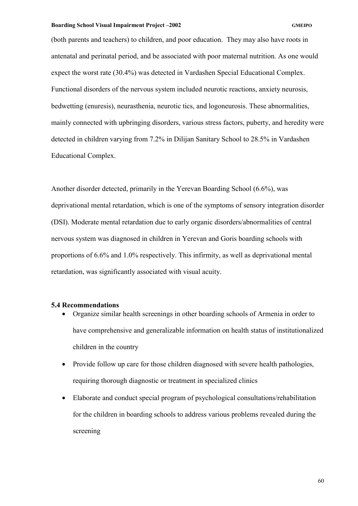(both parents and teachers) to children, and poor education. They may also have roots in antenatal and perinatal period, and be associated with poor maternal nutrition. As one would expect the worst rate (30.4%) was detected in Vardashen Special Educational Complex. Functional disorders of the nervous system included neurotic reactions, anxiety neurosis, bedwetting (enuresis), neurasthenia, neurotic tics, and logoneurosis. These abnormalities, mainly connected with upbringing disorders, various stress factors, puberty, and heredity were detected in children varying from 7.2% in Dilijan Sanitary School to 28.5% in Vardashen Educational Complex.

Another disorder detected, primarily in the Yerevan Boarding School (6.6%), was deprivational mental retardation, which is one of the symptoms of sensory integration disorder (DSI). Moderate mental retardation due to early organic disorders/abnormalities of central nervous system was diagnosed in children in Yerevan and Goris boarding schools with proportions of 6.6% and 1.0% respectively. This infirmity, as well as deprivational mental retardation, was significantly associated with visual acuity.

## **5.4 Recommendations**

- Organize similar health screenings in other boarding schools of Armenia in order to have comprehensive and generalizable information on health status of institutionalized children in the country
- Provide follow up care for those children diagnosed with severe health pathologies, requiring thorough diagnostic or treatment in specialized clinics
- Elaborate and conduct special program of psychological consultations/rehabilitation for the children in boarding schools to address various problems revealed during the screening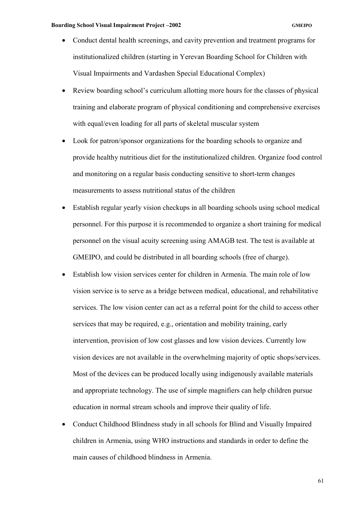- Conduct dental health screenings, and cavity prevention and treatment programs for institutionalized children (starting in Yerevan Boarding School for Children with Visual Impairments and Vardashen Special Educational Complex)
- Review boarding school's curriculum allotting more hours for the classes of physical training and elaborate program of physical conditioning and comprehensive exercises with equal/even loading for all parts of skeletal muscular system
- Look for patron/sponsor organizations for the boarding schools to organize and provide healthy nutritious diet for the institutionalized children. Organize food control and monitoring on a regular basis conducting sensitive to short-term changes measurements to assess nutritional status of the children
- Establish regular yearly vision checkups in all boarding schools using school medical personnel. For this purpose it is recommended to organize a short training for medical personnel on the visual acuity screening using AMAGB test. The test is available at GMEIPO, and could be distributed in all boarding schools (free of charge).
- Establish low vision services center for children in Armenia. The main role of low vision service is to serve as a bridge between medical, educational, and rehabilitative services. The low vision center can act as a referral point for the child to access other services that may be required, e.g., orientation and mobility training, early intervention, provision of low cost glasses and low vision devices. Currently low vision devices are not available in the overwhelming majority of optic shops/services. Most of the devices can be produced locally using indigenously available materials and appropriate technology. The use of simple magnifiers can help children pursue education in normal stream schools and improve their quality of life.
- Conduct Childhood Blindness study in all schools for Blind and Visually Impaired children in Armenia, using WHO instructions and standards in order to define the main causes of childhood blindness in Armenia.

61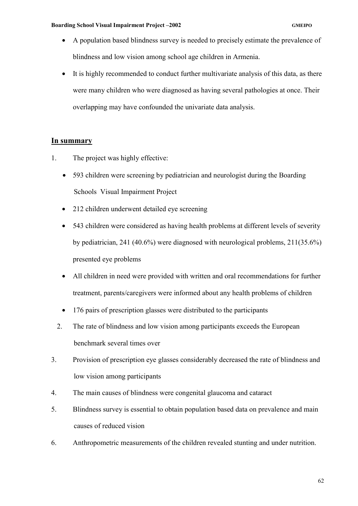- A population based blindness survey is needed to precisely estimate the prevalence of blindness and low vision among school age children in Armenia.
- It is highly recommended to conduct further multivariate analysis of this data, as there were many children who were diagnosed as having several pathologies at once. Their overlapping may have confounded the univariate data analysis.

# **In summary**

- 1. The project was highly effective:
	- 593 children were screening by pediatrician and neurologist during the Boarding Schools Visual Impairment Project
	- 212 children underwent detailed eye screening
	- 543 children were considered as having health problems at different levels of severity by pediatrician, 241 (40.6%) were diagnosed with neurological problems, 211(35.6%) presented eye problems
	- All children in need were provided with written and oral recommendations for further treatment, parents/caregivers were informed about any health problems of children
	- 176 pairs of prescription glasses were distributed to the participants
	- 2. The rate of blindness and low vision among participants exceeds the European benchmark several times over
- 3. Provision of prescription eye glasses considerably decreased the rate of blindness and low vision among participants
- 4. The main causes of blindness were congenital glaucoma and cataract
- 5. Blindness survey is essential to obtain population based data on prevalence and main causes of reduced vision
- 6. Anthropometric measurements of the children revealed stunting and under nutrition.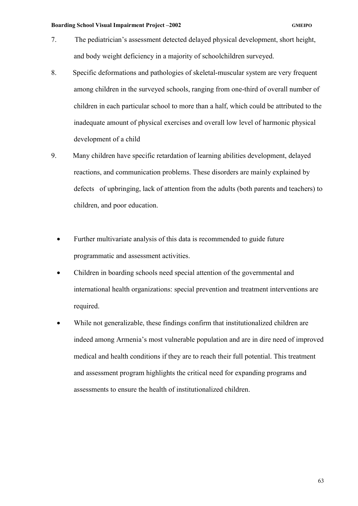- 7. The pediatrician's assessment detected delayed physical development, short height, and body weight deficiency in a majority of schoolchildren surveyed.
- 8. Specific deformations and pathologies of skeletal-muscular system are very frequent among children in the surveyed schools, ranging from one-third of overall number of children in each particular school to more than a half, which could be attributed to the inadequate amount of physical exercises and overall low level of harmonic physical development of a child
- 9. Many children have specific retardation of learning abilities development, delayed reactions, and communication problems. These disorders are mainly explained by defects of upbringing, lack of attention from the adults (both parents and teachers) to children, and poor education.
	- Further multivariate analysis of this data is recommended to guide future programmatic and assessment activities.
	- Children in boarding schools need special attention of the governmental and international health organizations: special prevention and treatment interventions are required.
	- While not generalizable, these findings confirm that institutionalized children are indeed among Armenia's most vulnerable population and are in dire need of improved medical and health conditions if they are to reach their full potential. This treatment and assessment program highlights the critical need for expanding programs and assessments to ensure the health of institutionalized children.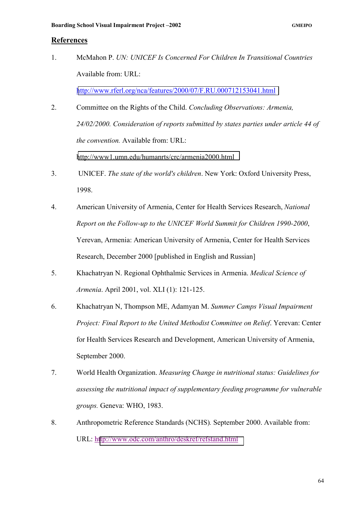## **References**

1. McMahon P. *UN: UNICEF Is Concerned For Children In Transitional Countries* Available from: URL:

<http://www.rferl.org/nca/features/2000/07/F.RU.000712153041.html>

- 2. Committee on the Rights of the Child. *Concluding Observations: Armenia, 24/02/2000. Consideration of reports submitted by states parties under article 44 of the convention.* Available from: URL: <http://www1.umn.edu/humanrts/crc/armenia2000.html>
- 3. UNICEF. *The state of the world's children*. New York: Oxford University Press, 1998.
- 4. American University of Armenia, Center for Health Services Research, *National Report on the Follow-up to the UNICEF World Summit for Children 1990-2000*, Yerevan, Armenia: American University of Armenia, Center for Health Services Research, December 2000 [published in English and Russian]
- 5. Khachatryan N. Regional Ophthalmic Services in Armenia. *Medical Science of Armenia*. April 2001, vol. XLI (1): 121-125.
- 6. Khachatryan N, Thompson ME, Adamyan M. *Summer Camps Visual Impairment Project: Final Report to the United Methodist Committee on Relief*. Yerevan: Center for Health Services Research and Development, American University of Armenia, September 2000.
- 7. World Health Organization. *Measuring Change in nutritional status: Guidelines for assessing the nutritional impact of supplementary feeding programme for vulnerable groups.* Geneva: WHO, 1983.
- 8. Anthropometric Reference Standards (NCHS)*.* September 2000. Available from: URL: h[ttp://www.odc.com/anthro/deskref/refstand.html](http://www.odc.com/anthro/deskref/refstand.html)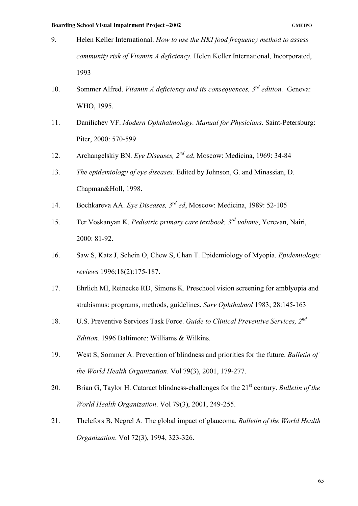- 9. Helen Keller International. *How to use the HKI food frequency method to assess community risk of Vitamin A deficiency*. Helen Keller International, Incorporated, 1993
- 10. Sommer Alfred. *Vitamin A deficiency and its consequences, 3rd edition.* Geneva: WHO, 1995.
- 11. Danilichev VF. *Modern Ophthalmology. Manual for Physicians*. Saint-Petersburg: Piter, 2000: 570-599
- 12. Archangelskiy BN. *Eye Diseases, 2nd ed*, Moscow: Medicina, 1969: 34-84
- 13. *The epidemiology of eye diseases.* Edited by Johnson, G. and Minassian, D. Chapman&Holl, 1998.
- 14. Bochkareva AA. *Eye Diseases, 3rd ed*, Moscow: Medicina, 1989: 52-105
- 15. Ter Voskanyan K. *Pediatric primary care textbook, 3rd volume*, Yerevan, Nairi, 2000: 81-92.
- 16. Saw S, Katz J, Schein O, Chew S, Chan T. Epidemiology of Myopia. *Epidemiologic reviews* 1996;18(2):175-187.
- 17. Ehrlich MI, Reinecke RD, Simons K. Preschool vision screening for amblyopia and strabismus: programs, methods, guidelines. *Surv Ophthalmol* 1983; 28:145-163
- 18. U.S. Preventive Services Task Force. *Guide to Clinical Preventive Services, 2nd Edition.* 1996 Baltimore: Williams & Wilkins.
- 19. West S, Sommer A. Prevention of blindness and priorities for the future. *Bulletin of the World Health Organization*. Vol 79(3), 2001, 179-277.
- 20. Brian G, Taylor H. Cataract blindness-challenges for the 21<sup>st</sup> century. *Bulletin of the World Health Organization*. Vol 79(3), 2001, 249-255.
- 21. Thelefors B, Negrel A. The global impact of glaucoma. *Bulletin of the World Health Organization*. Vol 72(3), 1994, 323-326.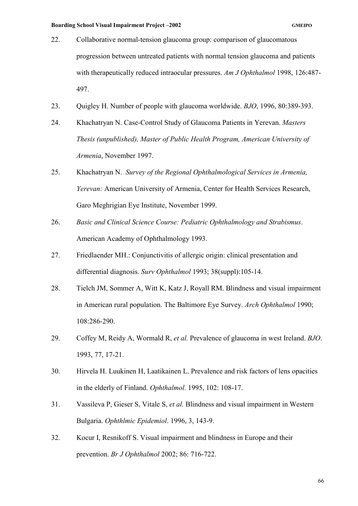- 22. Collaborative normal-tension glaucoma group: comparison of glaucomatous progression between untreated patients with normal tension glaucoma and patients with therapeutically reduced intraocular pressures. *Am J Ophthalmol* 1998, 126:487- 497.
- 23. Quigley H. Number of people with glaucoma worldwide. *BJO*, 1996, 80:389-393.
- 24. Khachatryan N. Case-Control Study of Glaucoma Patients in Yerevan. *Masters Thesis (unpublished), Master of Public Health Program, American University of Armenia*, November 1997.
- 25. Khachatryan N. *Survey of the Regional Ophthalmological Services in Armenia, Yerevan:* American University of Armenia, Center for Health Services Research, Garo Meghrigian Eye Institute, November 1999.
- 26. *Basic and Clinical Science Course: Pediatric Ophthalmology and Strabismus*. American Academy of Ophthalmology 1993.
- 27. Friedlaender MH.: Conjunctivitis of allergic origin: clinical presentation and differential diagnosis. *Surv Ophthalmol* 1993; 38(suppl):105-14.
- 28. Tielch JM, Sommer A, Witt K, Katz J, Royall RM. Blindness and visual impairment in American rural population. The Baltimore Eye Survey. *Arch Ophthalmol* 1990; 108:286-290.
- 29. Coffey M, Reidy A, Wormald R, *et al.* Prevalence of glaucoma in west Ireland. *BJO*. 1993, 77, 17-21.
- 30. Hirvela H. Luukinen H, Laatikainen L. Prevalence and risk factors of lens opacities in the elderly of Finland. *Ophthalmol.* 1995, 102: 108-17.
- 31. Vassileva P, Gieser S, Vitale S, *et al.* Blindness and visual impairment in Western Bulgaria. *Ophthlmic Epidemiol*. 1996, 3, 143-9.
- 32. Kocur I, Resnikoff S. Visual impairment and blindness in Europe and their prevention. *Br J Ophthalmol* 2002; 86: 716-722.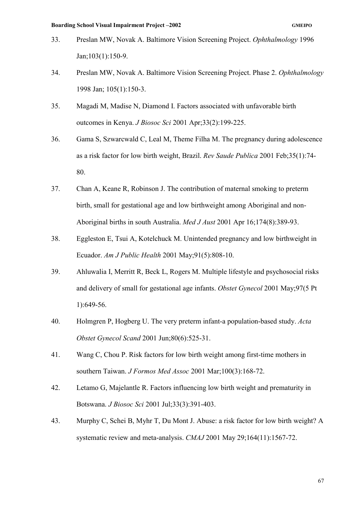- 33. Preslan MW, Novak A. Baltimore Vision Screening Project. *Ophthalmology* 1996 Jan;103(1):150-9.
- 34. Preslan MW, Novak A. Baltimore Vision Screening Project. Phase 2. *Ophthalmology*  1998 Jan; 105(1):150-3.
- 35. Magadi M, Madise N, Diamond I. Factors associated with unfavorable birth outcomes in Kenya. *J Biosoc Sci* 2001 Apr;33(2):199-225.
- 36. Gama S, Szwarcwald C, Leal M, Theme Filha M. The pregnancy during adolescence as a risk factor for low birth weight, Brazil. *Rev Saude Publica* 2001 Feb;35(1):74- 80.
- 37. Chan A, Keane R, Robinson J. The contribution of maternal smoking to preterm birth, small for gestational age and low birthweight among Aboriginal and non-Aboriginal births in south Australia. *Med J Aust* 2001 Apr 16;174(8):389-93.
- 38. Eggleston E, Tsui A, Kotelchuck M. Unintended pregnancy and low birthweight in Ecuador. *Am J Public Health* 2001 May;91(5):808-10.
- 39. Ahluwalia I, Merritt R, Beck L, Rogers M. Multiple lifestyle and psychosocial risks and delivery of small for gestational age infants. *Obstet Gynecol* 2001 May;97(5 Pt 1):649-56.
- 40. Holmgren P, Hogberg U. The very preterm infant-a population-based study. *Acta Obstet Gynecol Scand* 2001 Jun;80(6):525-31.
- 41. Wang C, Chou P. Risk factors for low birth weight among first-time mothers in southern Taiwan. *J Formos Med Assoc* 2001 Mar;100(3):168-72.
- 42. Letamo G, Majelantle R. Factors influencing low birth weight and prematurity in Botswana. *J Biosoc Sci* 2001 Jul;33(3):391-403.
- 43. Murphy C, Schei B, Myhr T, Du Mont J. Abuse: a risk factor for low birth weight? A systematic review and meta-analysis. *CMAJ* 2001 May 29;164(11):1567-72.